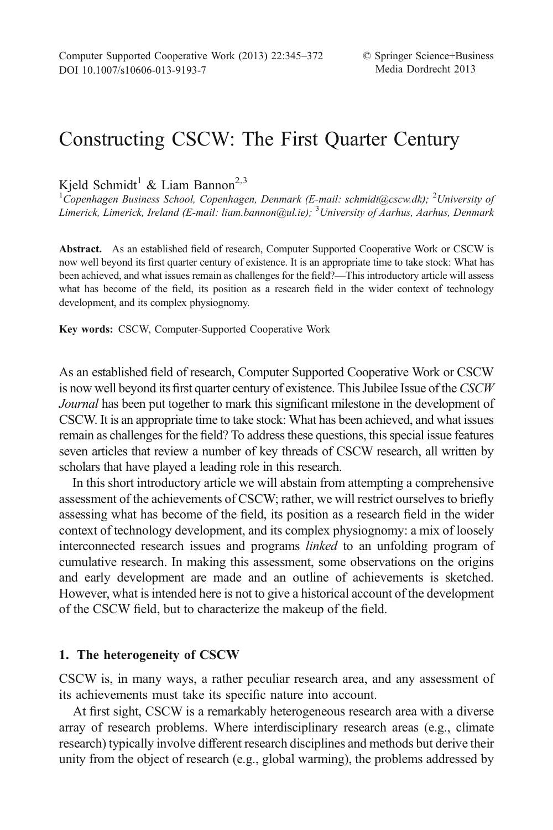Kjeld Schmidt<sup>1</sup> & Liam Bannon<sup>2,3</sup>

<sup>1</sup>Copenhagen Business School, Copenhagen, Denmark (E-mail: schmidt@cscw.dk); <sup>2</sup>University of Limerick, Limerick, Ireland (E-mail: liam.bannon@ul.ie); <sup>3</sup>University of Aarhus, Aarhus, Denmark

Abstract. As an established field of research, Computer Supported Cooperative Work or CSCW is now well beyond its first quarter century of existence. It is an appropriate time to take stock: What has been achieved, and what issues remain as challenges for the field?—This introductory article will assess what has become of the field, its position as a research field in the wider context of technology development, and its complex physiognomy.

Key words: CSCW, Computer-Supported Cooperative Work

As an established field of research, Computer Supported Cooperative Work or CSCW is now well beyond its first quarter century of existence. This Jubilee Issue of the CSCW Journal has been put together to mark this significant milestone in the development of CSCW. It is an appropriate time to take stock: What has been achieved, and what issues remain as challenges for the field? To address these questions, this special issue features seven articles that review a number of key threads of CSCW research, all written by scholars that have played a leading role in this research.

In this short introductory article we will abstain from attempting a comprehensive assessment of the achievements of CSCW; rather, we will restrict ourselves to briefly assessing what has become of the field, its position as a research field in the wider context of technology development, and its complex physiognomy: a mix of loosely interconnected research issues and programs linked to an unfolding program of cumulative research. In making this assessment, some observations on the origins and early development are made and an outline of achievements is sketched. However, what is intended here is not to give a historical account of the development of the CSCW field, but to characterize the makeup of the field.

# 1. The heterogeneity of CSCW

CSCW is, in many ways, a rather peculiar research area, and any assessment of its achievements must take its specific nature into account.

At first sight, CSCW is a remarkably heterogeneous research area with a diverse array of research problems. Where interdisciplinary research areas (e.g., climate research) typically involve different research disciplines and methods but derive their unity from the object of research (e.g., global warming), the problems addressed by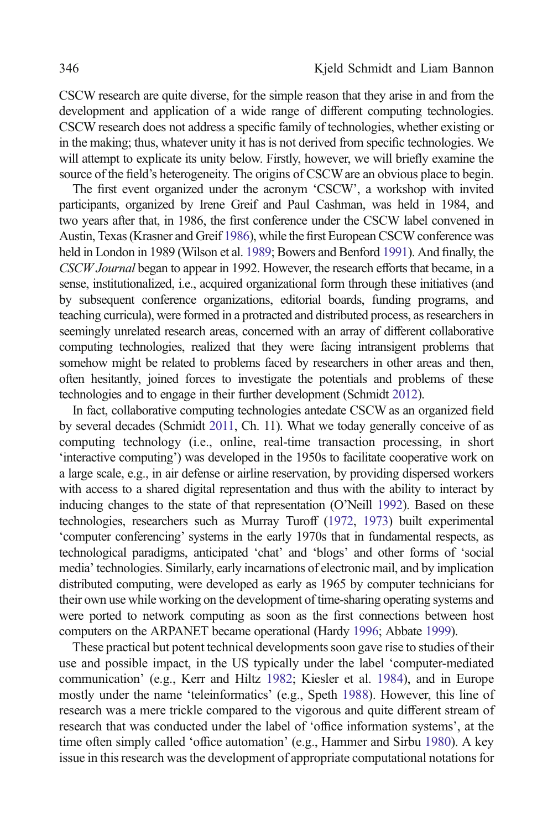CSCW research are quite diverse, for the simple reason that they arise in and from the development and application of a wide range of different computing technologies. CSCW research does not address a specific family of technologies, whether existing or in the making; thus, whatever unity it has is not derived from specific technologies. We will attempt to explicate its unity below. Firstly, however, we will briefly examine the source of the field's heterogeneity. The origins of CSCW are an obvious place to begin.

The first event organized under the acronym 'CSCW', a workshop with invited participants, organized by Irene Greif and Paul Cashman, was held in 1984, and two years after that, in 1986, the first conference under the CSCW label convened in Austin, Texas (Krasner and Greif [1986](#page-22-0)), while the first European CSCW conference was held in London in 1989 (Wilson et al. [1989](#page-27-0); Bowers and Benford [1991](#page-17-0)). And finally, the CSCW Journal began to appear in 1992. However, the research efforts that became, in a sense, institutionalized, i.e., acquired organizational form through these initiatives (and by subsequent conference organizations, editorial boards, funding programs, and teaching curricula), were formed in a protracted and distributed process, as researchers in seemingly unrelated research areas, concerned with an array of different collaborative computing technologies, realized that they were facing intransigent problems that somehow might be related to problems faced by researchers in other areas and then, often hesitantly, joined forces to investigate the potentials and problems of these technologies and to engage in their further development (Schmidt [2012](#page-25-0)).

In fact, collaborative computing technologies antedate CSCW as an organized field by several decades (Schmidt [2011](#page-25-0), Ch. 11). What we today generally conceive of as computing technology (i.e., online, real-time transaction processing, in short 'interactive computing') was developed in the 1950s to facilitate cooperative work on a large scale, e.g., in air defense or airline reservation, by providing dispersed workers with access to a shared digital representation and thus with the ability to interact by inducing changes to the state of that representation (O'Neill [1992](#page-24-0)). Based on these technologies, researchers such as Murray Turoff [\(1972,](#page-27-0) [1973\)](#page-27-0) built experimental 'computer conferencing' systems in the early 1970s that in fundamental respects, as technological paradigms, anticipated 'chat' and 'blogs' and other forms of 'social media' technologies. Similarly, early incarnations of electronic mail, and by implication distributed computing, were developed as early as 1965 by computer technicians for their own use while working on the development of time-sharing operating systems and were ported to network computing as soon as the first connections between host computers on the ARPANET became operational (Hardy [1996](#page-21-0); Abbate [1999\)](#page-16-0).

These practical but potent technical developments soon gave rise to studies of their use and possible impact, in the US typically under the label 'computer-mediated communication' (e.g., Kerr and Hiltz [1982;](#page-22-0) Kiesler et al. [1984\)](#page-22-0), and in Europe mostly under the name 'teleinformatics' (e.g., Speth [1988](#page-26-0)). However, this line of research was a mere trickle compared to the vigorous and quite different stream of research that was conducted under the label of 'office information systems', at the time often simply called 'office automation' (e.g., Hammer and Sirbu [1980\)](#page-20-0). A key issue in this research was the development of appropriate computational notations for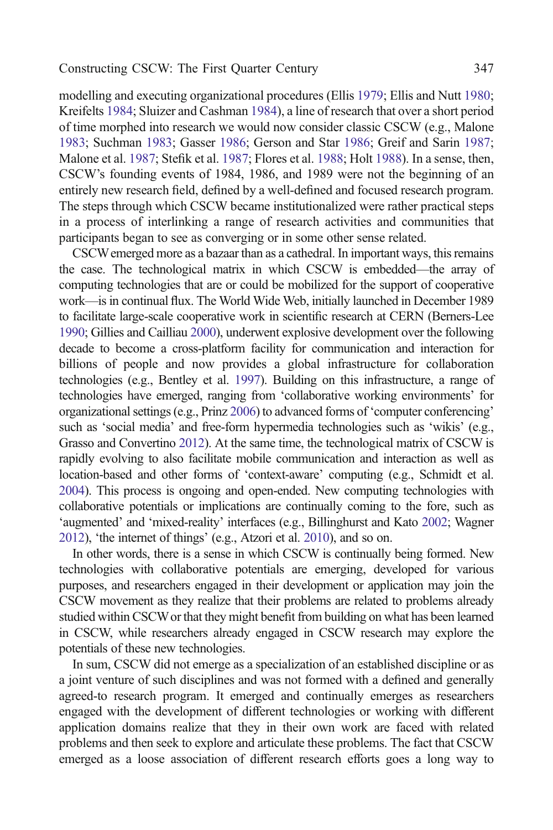modelling and executing organizational procedures (Ellis [1979](#page-19-0); Ellis and Nutt [1980](#page-19-0); Kreifelts [1984;](#page-23-0) Sluizer and Cashman [1984](#page-26-0)), a line of research that over a short period of time morphed into research we would now consider classic CSCW (e.g., Malone [1983;](#page-23-0) Suchman [1983](#page-26-0); Gasser [1986;](#page-20-0) Gerson and Star [1986](#page-20-0); Greif and Sarin [1987](#page-20-0); Malone et al. [1987](#page-23-0); Stefik et al. [1987;](#page-26-0) Flores et al. [1988;](#page-20-0) Holt [1988](#page-21-0)). In a sense, then, CSCW's founding events of 1984, 1986, and 1989 were not the beginning of an entirely new research field, defined by a well-defined and focused research program. The steps through which CSCW became institutionalized were rather practical steps in a process of interlinking a range of research activities and communities that participants began to see as converging or in some other sense related.

CSCWemerged more as a bazaar than as a cathedral. In important ways, this remains the case. The technological matrix in which CSCW is embedded—the array of computing technologies that are or could be mobilized for the support of cooperative work—is in continual flux. The World Wide Web, initially launched in December 1989 to facilitate large-scale cooperative work in scientific research at CERN (Berners-Lee [1990](#page-17-0); Gillies and Cailliau [2000](#page-20-0)), underwent explosive development over the following decade to become a cross-platform facility for communication and interaction for billions of people and now provides a global infrastructure for collaboration technologies (e.g., Bentley et al. [1997](#page-17-0)). Building on this infrastructure, a range of technologies have emerged, ranging from 'collaborative working environments' for organizational settings (e.g., Prinz [2006\)](#page-24-0) to advanced forms of 'computer conferencing' such as 'social media' and free-form hypermedia technologies such as 'wikis' (e.g., Grasso and Convertino [2012\)](#page-20-0). At the same time, the technological matrix of CSCW is rapidly evolving to also facilitate mobile communication and interaction as well as location-based and other forms of 'context-aware' computing (e.g., Schmidt et al. [2004](#page-25-0)). This process is ongoing and open-ended. New computing technologies with collaborative potentials or implications are continually coming to the fore, such as 'augmented' and 'mixed-reality' interfaces (e.g., Billinghurst and Kato [2002;](#page-17-0) Wagner [2012](#page-27-0)), 'the internet of things' (e.g., Atzori et al. [2010](#page-16-0)), and so on.

In other words, there is a sense in which CSCW is continually being formed. New technologies with collaborative potentials are emerging, developed for various purposes, and researchers engaged in their development or application may join the CSCW movement as they realize that their problems are related to problems already studied within CSCWor that they might benefit from building on what has been learned in CSCW, while researchers already engaged in CSCW research may explore the potentials of these new technologies.

In sum, CSCW did not emerge as a specialization of an established discipline or as a joint venture of such disciplines and was not formed with a defined and generally agreed-to research program. It emerged and continually emerges as researchers engaged with the development of different technologies or working with different application domains realize that they in their own work are faced with related problems and then seek to explore and articulate these problems. The fact that CSCW emerged as a loose association of different research efforts goes a long way to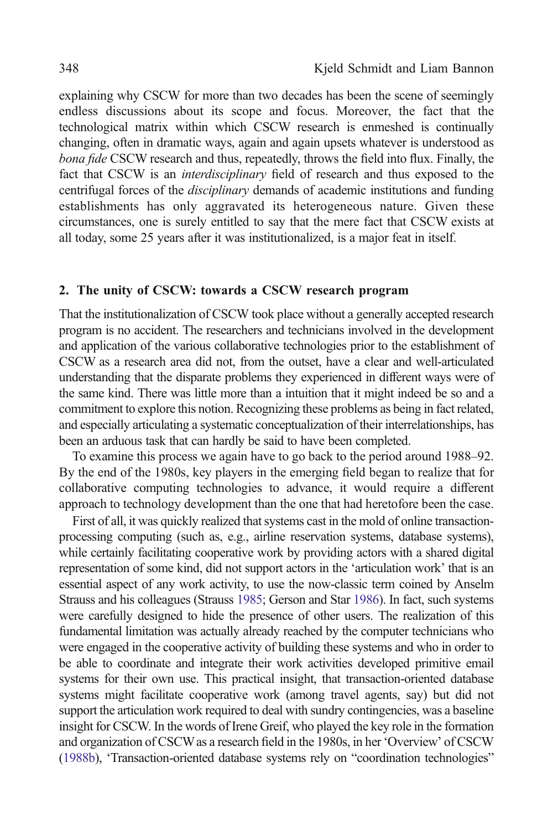explaining why CSCW for more than two decades has been the scene of seemingly endless discussions about its scope and focus. Moreover, the fact that the technological matrix within which CSCW research is enmeshed is continually changing, often in dramatic ways, again and again upsets whatever is understood as bona fide CSCW research and thus, repeatedly, throws the field into flux. Finally, the fact that CSCW is an *interdisciplinary* field of research and thus exposed to the centrifugal forces of the disciplinary demands of academic institutions and funding establishments has only aggravated its heterogeneous nature. Given these circumstances, one is surely entitled to say that the mere fact that CSCW exists at all today, some 25 years after it was institutionalized, is a major feat in itself.

# 2. The unity of CSCW: towards a CSCW research program

That the institutionalization of CSCW took place without a generally accepted research program is no accident. The researchers and technicians involved in the development and application of the various collaborative technologies prior to the establishment of CSCW as a research area did not, from the outset, have a clear and well-articulated understanding that the disparate problems they experienced in different ways were of the same kind. There was little more than a intuition that it might indeed be so and a commitment to explore this notion. Recognizing these problems as being in fact related, and especially articulating a systematic conceptualization of their interrelationships, has been an arduous task that can hardly be said to have been completed.

To examine this process we again have to go back to the period around 1988–92. By the end of the 1980s, key players in the emerging field began to realize that for collaborative computing technologies to advance, it would require a different approach to technology development than the one that had heretofore been the case.

First of all, it was quickly realized that systems cast in the mold of online transactionprocessing computing (such as, e.g., airline reservation systems, database systems), while certainly facilitating cooperative work by providing actors with a shared digital representation of some kind, did not support actors in the 'articulation work' that is an essential aspect of any work activity, to use the now-classic term coined by Anselm Strauss and his colleagues (Strauss [1985](#page-26-0); Gerson and Star [1986\)](#page-20-0). In fact, such systems were carefully designed to hide the presence of other users. The realization of this fundamental limitation was actually already reached by the computer technicians who were engaged in the cooperative activity of building these systems and who in order to be able to coordinate and integrate their work activities developed primitive email systems for their own use. This practical insight, that transaction-oriented database systems might facilitate cooperative work (among travel agents, say) but did not support the articulation work required to deal with sundry contingencies, was a baseline insight for CSCW. In the words of Irene Greif, who played the key role in the formation and organization of CSCWas a research field in the 1980s, in her 'Overview' of CSCW ([1988b\)](#page-20-0), 'Transaction-oriented database systems rely on "coordination technologies"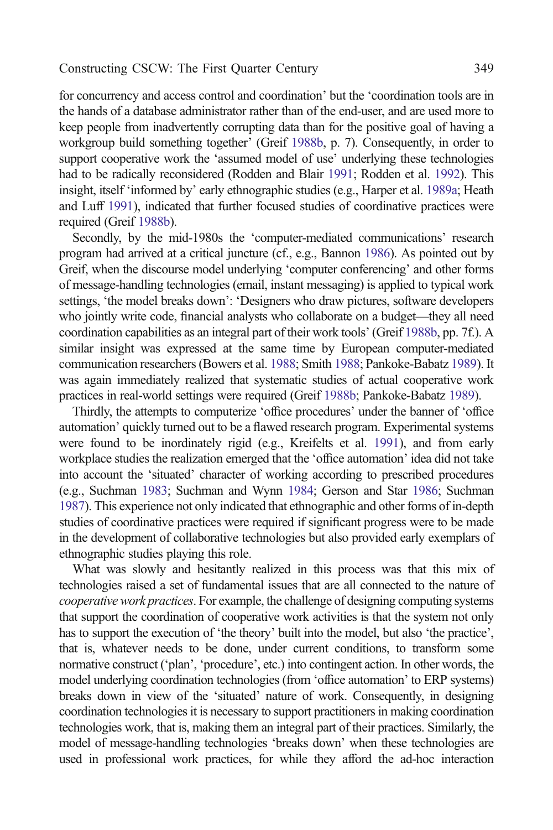for concurrency and access control and coordination' but the 'coordination tools are in the hands of a database administrator rather than of the end-user, and are used more to keep people from inadvertently corrupting data than for the positive goal of having a workgroup build something together' (Greif [1988b,](#page-20-0) p. 7). Consequently, in order to support cooperative work the 'assumed model of use' underlying these technologies had to be radically reconsidered (Rodden and Blair [1991;](#page-25-0) Rodden et al. [1992](#page-25-0)). This insight, itself 'informed by' early ethnographic studies (e.g., Harper et al. [1989a;](#page-21-0) Heath and Luff [1991](#page-21-0)), indicated that further focused studies of coordinative practices were required (Greif [1988b](#page-20-0)).

Secondly, by the mid-1980s the 'computer-mediated communications' research program had arrived at a critical juncture (cf., e.g., Bannon [1986\)](#page-16-0). As pointed out by Greif, when the discourse model underlying 'computer conferencing' and other forms of message-handling technologies (email, instant messaging) is applied to typical work settings, 'the model breaks down': 'Designers who draw pictures, software developers who jointly write code, financial analysts who collaborate on a budget—they all need coordination capabilities as an integral part of their work tools' (Greif [1988b](#page-20-0), pp. 7f.). A similar insight was expressed at the same time by European computer-mediated communication researchers (Bowers et al. [1988](#page-18-0); Smith [1988](#page-26-0); Pankoke-Babatz [1989\)](#page-24-0). It was again immediately realized that systematic studies of actual cooperative work practices in real-world settings were required (Greif [1988b;](#page-20-0) Pankoke-Babatz [1989](#page-24-0)).

Thirdly, the attempts to computerize 'office procedures' under the banner of 'office automation' quickly turned out to be a flawed research program. Experimental systems were found to be inordinately rigid (e.g., Kreifelts et al. [1991](#page-23-0)), and from early workplace studies the realization emerged that the 'office automation' idea did not take into account the 'situated' character of working according to prescribed procedures (e.g., Suchman [1983](#page-26-0); Suchman and Wynn [1984;](#page-26-0) Gerson and Star [1986](#page-20-0); Suchman [1987](#page-26-0)). This experience not only indicated that ethnographic and other forms of in-depth studies of coordinative practices were required if significant progress were to be made in the development of collaborative technologies but also provided early exemplars of ethnographic studies playing this role.

What was slowly and hesitantly realized in this process was that this mix of technologies raised a set of fundamental issues that are all connected to the nature of cooperative work practices. For example, the challenge of designing computing systems that support the coordination of cooperative work activities is that the system not only has to support the execution of 'the theory' built into the model, but also 'the practice', that is, whatever needs to be done, under current conditions, to transform some normative construct ('plan', 'procedure', etc.) into contingent action. In other words, the model underlying coordination technologies (from 'office automation' to ERP systems) breaks down in view of the 'situated' nature of work. Consequently, in designing coordination technologies it is necessary to support practitioners in making coordination technologies work, that is, making them an integral part of their practices. Similarly, the model of message-handling technologies 'breaks down' when these technologies are used in professional work practices, for while they afford the ad-hoc interaction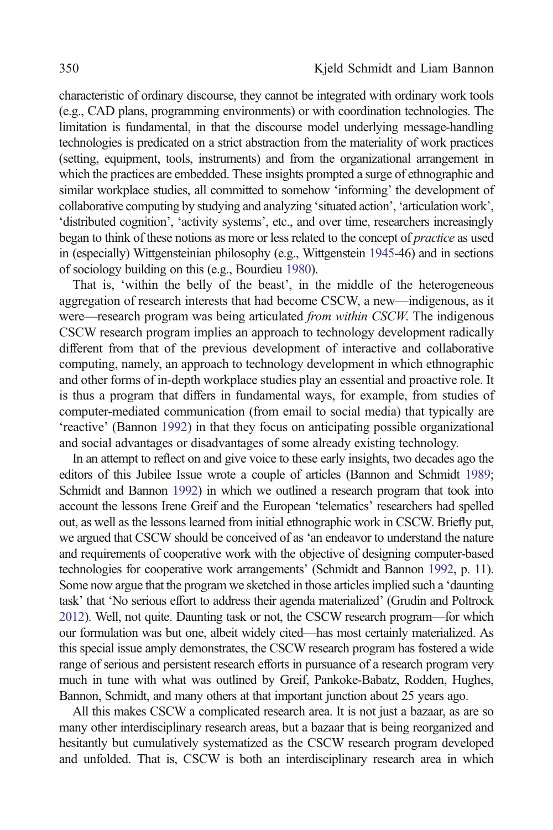characteristic of ordinary discourse, they cannot be integrated with ordinary work tools (e.g., CAD plans, programming environments) or with coordination technologies. The limitation is fundamental, in that the discourse model underlying message-handling technologies is predicated on a strict abstraction from the materiality of work practices (setting, equipment, tools, instruments) and from the organizational arrangement in which the practices are embedded. These insights prompted a surge of ethnographic and similar workplace studies, all committed to somehow 'informing' the development of collaborative computing by studying and analyzing 'situated action', 'articulation work', 'distributed cognition', 'activity systems', etc., and over time, researchers increasingly began to think of these notions as more or less related to the concept of *practice* as used in (especially) Wittgensteinian philosophy (e.g., Wittgenstein [1945](#page-27-0)-46) and in sections of sociology building on this (e.g., Bourdieu [1980](#page-17-0)).

That is, 'within the belly of the beast', in the middle of the heterogeneous aggregation of research interests that had become CSCW, a new—indigenous, as it were—research program was being articulated *from within CSCW*. The indigenous CSCW research program implies an approach to technology development radically different from that of the previous development of interactive and collaborative computing, namely, an approach to technology development in which ethnographic and other forms of in-depth workplace studies play an essential and proactive role. It is thus a program that differs in fundamental ways, for example, from studies of computer-mediated communication (from email to social media) that typically are 'reactive' (Bannon [1992\)](#page-16-0) in that they focus on anticipating possible organizational and social advantages or disadvantages of some already existing technology.

In an attempt to reflect on and give voice to these early insights, two decades ago the editors of this Jubilee Issue wrote a couple of articles (Bannon and Schmidt [1989](#page-16-0); Schmidt and Bannon [1992](#page-25-0)) in which we outlined a research program that took into account the lessons Irene Greif and the European 'telematics' researchers had spelled out, as well as the lessons learned from initial ethnographic work in CSCW. Briefly put, we argued that CSCW should be conceived of as 'an endeavor to understand the nature and requirements of cooperative work with the objective of designing computer-based technologies for cooperative work arrangements' (Schmidt and Bannon [1992,](#page-25-0) p. 11). Some now argue that the program we sketched in those articles implied such a 'daunting task' that 'No serious effort to address their agenda materialized' (Grudin and Poltrock [2012](#page-20-0)). Well, not quite. Daunting task or not, the CSCW research program—for which our formulation was but one, albeit widely cited—has most certainly materialized. As this special issue amply demonstrates, the CSCW research program has fostered a wide range of serious and persistent research efforts in pursuance of a research program very much in tune with what was outlined by Greif, Pankoke-Babatz, Rodden, Hughes, Bannon, Schmidt, and many others at that important junction about 25 years ago.

All this makes CSCW a complicated research area. It is not just a bazaar, as are so many other interdisciplinary research areas, but a bazaar that is being reorganized and hesitantly but cumulatively systematized as the CSCW research program developed and unfolded. That is, CSCW is both an interdisciplinary research area in which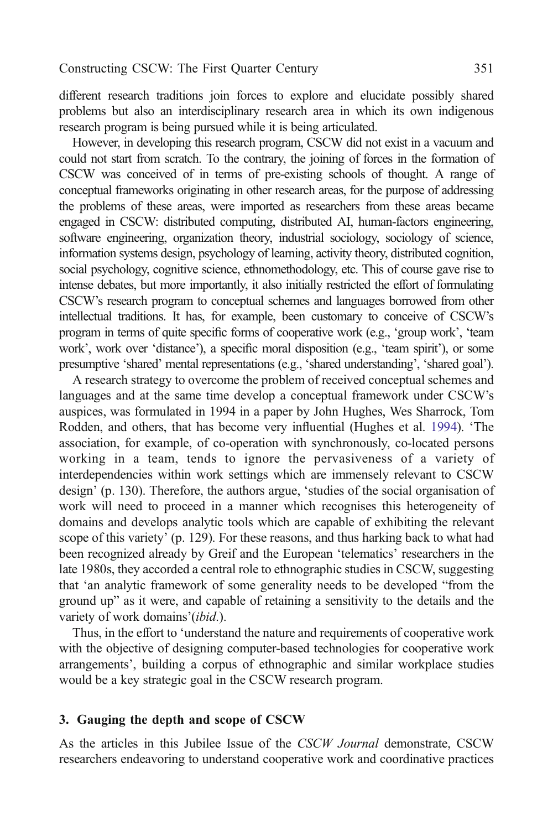different research traditions join forces to explore and elucidate possibly shared problems but also an interdisciplinary research area in which its own indigenous research program is being pursued while it is being articulated.

However, in developing this research program, CSCW did not exist in a vacuum and could not start from scratch. To the contrary, the joining of forces in the formation of CSCW was conceived of in terms of pre-existing schools of thought. A range of conceptual frameworks originating in other research areas, for the purpose of addressing the problems of these areas, were imported as researchers from these areas became engaged in CSCW: distributed computing, distributed AI, human-factors engineering, software engineering, organization theory, industrial sociology, sociology of science, information systems design, psychology of learning, activity theory, distributed cognition, social psychology, cognitive science, ethnomethodology, etc. This of course gave rise to intense debates, but more importantly, it also initially restricted the effort of formulating CSCW's research program to conceptual schemes and languages borrowed from other intellectual traditions. It has, for example, been customary to conceive of CSCW's program in terms of quite specific forms of cooperative work (e.g., 'group work', 'team work', work over 'distance'), a specific moral disposition (e.g., 'team spirit'), or some presumptive 'shared' mental representations (e.g., 'shared understanding', 'shared goal').

A research strategy to overcome the problem of received conceptual schemes and languages and at the same time develop a conceptual framework under CSCW's auspices, was formulated in 1994 in a paper by John Hughes, Wes Sharrock, Tom Rodden, and others, that has become very influential (Hughes et al. [1994\)](#page-22-0). 'The association, for example, of co-operation with synchronously, co-located persons working in a team, tends to ignore the pervasiveness of a variety of interdependencies within work settings which are immensely relevant to CSCW design' (p. 130). Therefore, the authors argue, 'studies of the social organisation of work will need to proceed in a manner which recognises this heterogeneity of domains and develops analytic tools which are capable of exhibiting the relevant scope of this variety' (p. 129). For these reasons, and thus harking back to what had been recognized already by Greif and the European 'telematics' researchers in the late 1980s, they accorded a central role to ethnographic studies in CSCW, suggesting that 'an analytic framework of some generality needs to be developed "from the ground up" as it were, and capable of retaining a sensitivity to the details and the variety of work domains'(ibid.).

Thus, in the effort to 'understand the nature and requirements of cooperative work with the objective of designing computer-based technologies for cooperative work arrangements', building a corpus of ethnographic and similar workplace studies would be a key strategic goal in the CSCW research program.

# 3. Gauging the depth and scope of CSCW

As the articles in this Jubilee Issue of the CSCW Journal demonstrate, CSCW researchers endeavoring to understand cooperative work and coordinative practices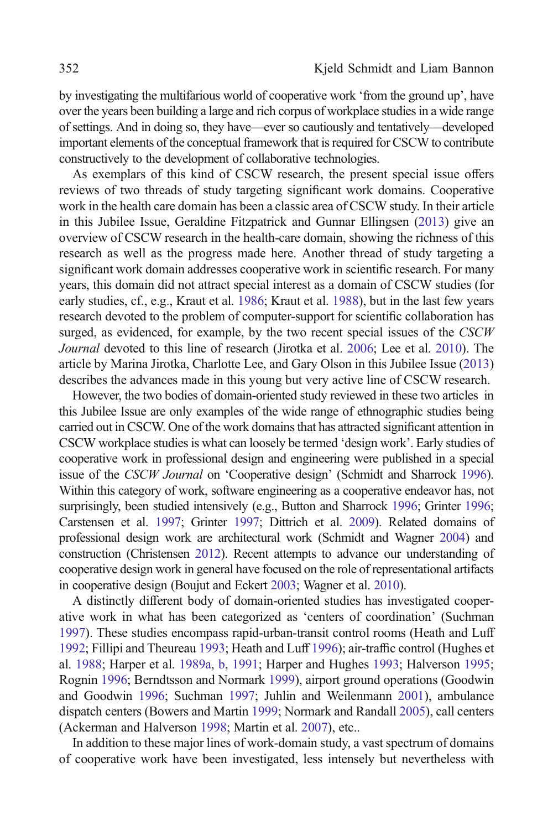by investigating the multifarious world of cooperative work 'from the ground up', have over the years been building a large and rich corpus of workplace studies in a wide range of settings. And in doing so, they have—ever so cautiously and tentatively—developed important elements of the conceptual framework that is required for CSCW to contribute constructively to the development of collaborative technologies.

As exemplars of this kind of CSCW research, the present special issue offers reviews of two threads of study targeting significant work domains. Cooperative work in the health care domain has been a classic area of CSCW study. In their article in this Jubilee Issue, Geraldine Fitzpatrick and Gunnar Ellingsen [\(2013\)](#page-19-0) give an overview of CSCW research in the health-care domain, showing the richness of this research as well as the progress made here. Another thread of study targeting a significant work domain addresses cooperative work in scientific research. For many years, this domain did not attract special interest as a domain of CSCW studies (for early studies, cf., e.g., Kraut et al. [1986](#page-22-0); Kraut et al. [1988](#page-23-0)), but in the last few years research devoted to the problem of computer-support for scientific collaboration has surged, as evidenced, for example, by the two recent special issues of the CSCW Journal devoted to this line of research (Jirotka et al. [2006](#page-22-0); Lee et al. [2010\)](#page-23-0). The article by Marina Jirotka, Charlotte Lee, and Gary Olson in this Jubilee Issue [\(2013\)](#page-22-0) describes the advances made in this young but very active line of CSCW research.

However, the two bodies of domain-oriented study reviewed in these two articles in this Jubilee Issue are only examples of the wide range of ethnographic studies being carried out in CSCW. One of the work domains that has attracted significant attention in CSCW workplace studies is what can loosely be termed 'design work'. Early studies of cooperative work in professional design and engineering were published in a special issue of the CSCW Journal on 'Cooperative design' (Schmidt and Sharrock [1996](#page-25-0)). Within this category of work, software engineering as a cooperative endeavor has, not surprisingly, been studied intensively (e.g., Button and Sharrock [1996](#page-18-0); Grinter [1996](#page-20-0); Carstensen et al. [1997](#page-18-0); Grinter [1997;](#page-20-0) Dittrich et al. [2009](#page-19-0)). Related domains of professional design work are architectural work (Schmidt and Wagner [2004\)](#page-25-0) and construction (Christensen [2012](#page-18-0)). Recent attempts to advance our understanding of cooperative design work in general have focused on the role of representational artifacts in cooperative design (Boujut and Eckert [2003;](#page-17-0) Wagner et al. [2010\)](#page-27-0).

A distinctly different body of domain-oriented studies has investigated cooperative work in what has been categorized as 'centers of coordination' (Suchman [1997\)](#page-26-0). These studies encompass rapid-urban-transit control rooms (Heath and Luff [1992;](#page-21-0) Fillipi and Theureau [1993;](#page-19-0) Heath and Luff [1996](#page-21-0)); air-traffic control (Hughes et al. [1988;](#page-22-0) Harper et al. [1989a](#page-21-0), [b](#page-21-0), [1991;](#page-21-0) Harper and Hughes [1993](#page-21-0); Halverson [1995](#page-20-0); Rognin [1996](#page-25-0); Berndtsson and Normark [1999\)](#page-17-0), airport ground operations (Goodwin and Goodwin [1996](#page-20-0); Suchman [1997;](#page-26-0) Juhlin and Weilenmann [2001\)](#page-22-0), ambulance dispatch centers (Bowers and Martin [1999;](#page-17-0) Normark and Randall [2005\)](#page-24-0), call centers (Ackerman and Halverson [1998;](#page-16-0) Martin et al. [2007\)](#page-23-0), etc..

In addition to these major lines of work-domain study, a vast spectrum of domains of cooperative work have been investigated, less intensely but nevertheless with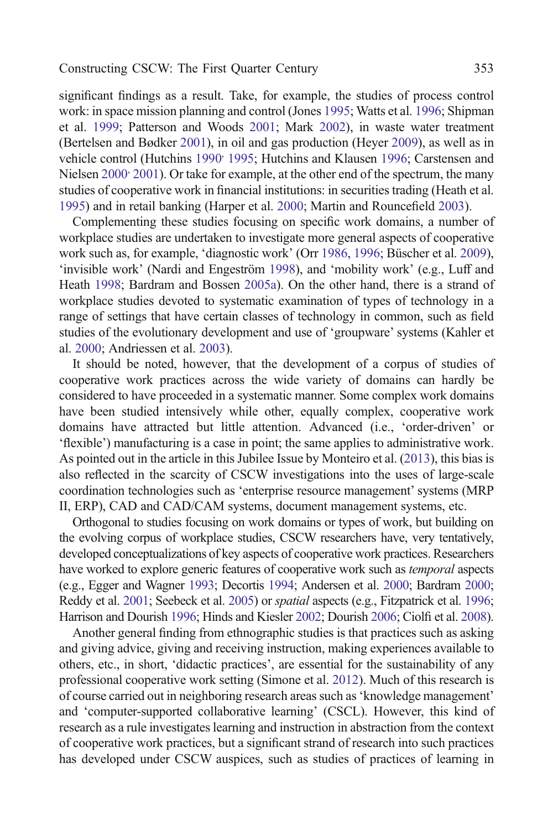significant findings as a result. Take, for example, the studies of process control work: in space mission planning and control (Jones [1995](#page-22-0); Watts et al. [1996;](#page-27-0) Shipman et al. [1999;](#page-26-0) Patterson and Woods [2001](#page-24-0); Mark [2002](#page-23-0)), in waste water treatment (Bertelsen and Bødker [2001](#page-17-0)), in oil and gas production (Heyer [2009\)](#page-21-0), as well as in vehicle control (Hutchins 1990<sup>,</sup> [1995](#page-22-0); Hutchins and Klausen [1996;](#page-22-0) Carstensen and Nielsen 2000<sup>,</sup> [2001\)](#page-18-0). Or take for example, at the other end of the spectrum, the many studies of cooperative work in financial institutions: in securities trading (Heath et al. [1995\)](#page-21-0) and in retail banking (Harper et al. [2000;](#page-21-0) Martin and Rouncefield [2003\)](#page-23-0).

Complementing these studies focusing on specific work domains, a number of workplace studies are undertaken to investigate more general aspects of cooperative work such as, for example, 'diagnostic work' (Orr [1986,](#page-24-0) [1996;](#page-24-0) Büscher et al. [2009\)](#page-18-0), 'invisible work' (Nardi and Engeström [1998](#page-23-0)), and 'mobility work' (e.g., Luff and Heath [1998](#page-23-0); Bardram and Bossen [2005a\)](#page-17-0). On the other hand, there is a strand of workplace studies devoted to systematic examination of types of technology in a range of settings that have certain classes of technology in common, such as field studies of the evolutionary development and use of 'groupware' systems (Kahler et al. [2000](#page-22-0); Andriessen et al. [2003\)](#page-16-0).

It should be noted, however, that the development of a corpus of studies of cooperative work practices across the wide variety of domains can hardly be considered to have proceeded in a systematic manner. Some complex work domains have been studied intensively while other, equally complex, cooperative work domains have attracted but little attention. Advanced (i.e., 'order-driven' or 'flexible') manufacturing is a case in point; the same applies to administrative work. As pointed out in the article in this Jubilee Issue by Monteiro et al. [\(2013\)](#page-23-0), this bias is also reflected in the scarcity of CSCW investigations into the uses of large-scale coordination technologies such as 'enterprise resource management' systems (MRP II, ERP), CAD and CAD/CAM systems, document management systems, etc.

Orthogonal to studies focusing on work domains or types of work, but building on the evolving corpus of workplace studies, CSCW researchers have, very tentatively, developed conceptualizations of key aspects of cooperative work practices. Researchers have worked to explore generic features of cooperative work such as *temporal* aspects (e.g., Egger and Wagner [1993;](#page-19-0) Decortis [1994;](#page-19-0) Andersen et al. [2000](#page-16-0); Bardram [2000](#page-17-0); Reddy et al. [2001](#page-25-0); Seebeck et al. [2005](#page-26-0)) or *spatial* aspects (e.g., Fitzpatrick et al. [1996](#page-19-0); Harrison and Dourish [1996;](#page-21-0) Hinds and Kiesler [2002](#page-21-0); Dourish [2006](#page-19-0); Ciolfi et al. [2008](#page-18-0)).

Another general finding from ethnographic studies is that practices such as asking and giving advice, giving and receiving instruction, making experiences available to others, etc., in short, 'didactic practices', are essential for the sustainability of any professional cooperative work setting (Simone et al. [2012](#page-26-0)). Much of this research is of course carried out in neighboring research areas such as'knowledge management' and 'computer-supported collaborative learning' (CSCL). However, this kind of research as a rule investigates learning and instruction in abstraction from the context of cooperative work practices, but a significant strand of research into such practices has developed under CSCW auspices, such as studies of practices of learning in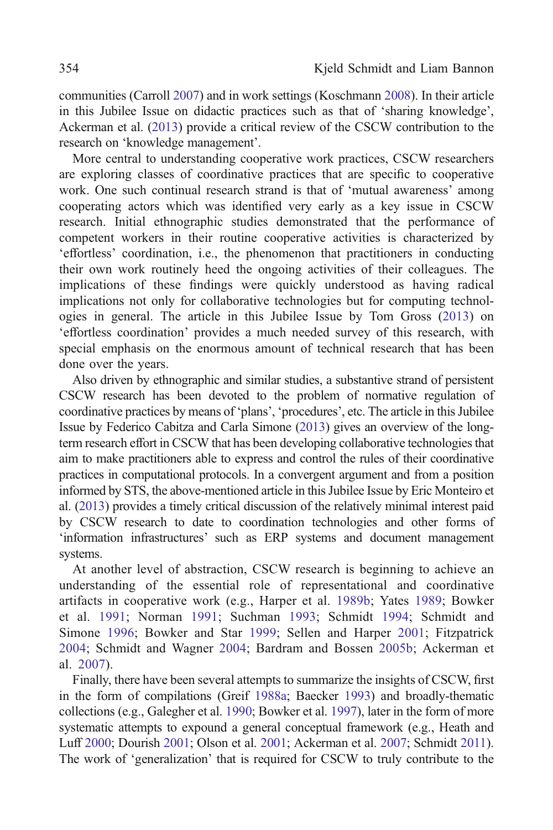communities (Carroll [2007\)](#page-18-0) and in work settings (Koschmann [2008\)](#page-22-0). In their article in this Jubilee Issue on didactic practices such as that of 'sharing knowledge', Ackerman et al. ([2013](#page-16-0)) provide a critical review of the CSCW contribution to the research on 'knowledge management'.

More central to understanding cooperative work practices, CSCW researchers are exploring classes of coordinative practices that are specific to cooperative work. One such continual research strand is that of 'mutual awareness' among cooperating actors which was identified very early as a key issue in CSCW research. Initial ethnographic studies demonstrated that the performance of competent workers in their routine cooperative activities is characterized by 'effortless' coordination, i.e., the phenomenon that practitioners in conducting their own work routinely heed the ongoing activities of their colleagues. The implications of these findings were quickly understood as having radical implications not only for collaborative technologies but for computing technologies in general. The article in this Jubilee Issue by Tom Gross [\(2013\)](#page-20-0) on 'effortless coordination' provides a much needed survey of this research, with special emphasis on the enormous amount of technical research that has been done over the years.

Also driven by ethnographic and similar studies, a substantive strand of persistent CSCW research has been devoted to the problem of normative regulation of coordinative practices by means of 'plans', 'procedures', etc. The article in this Jubilee Issue by Federico Cabitza and Carla Simone ([2013\)](#page-18-0) gives an overview of the longterm research effort in CSCW that has been developing collaborative technologies that aim to make practitioners able to express and control the rules of their coordinative practices in computational protocols. In a convergent argument and from a position informed by STS, the above-mentioned article in this Jubilee Issue by Eric Monteiro et al. ([2013\)](#page-23-0) provides a timely critical discussion of the relatively minimal interest paid by CSCW research to date to coordination technologies and other forms of 'information infrastructures' such as ERP systems and document management systems.

At another level of abstraction, CSCW research is beginning to achieve an understanding of the essential role of representational and coordinative artifacts in cooperative work (e.g., Harper et al. [1989b;](#page-21-0) Yates [1989](#page-27-0); Bowker et al. [1991](#page-18-0); Norman [1991;](#page-24-0) Suchman [1993](#page-26-0); Schmidt [1994](#page-25-0); Schmidt and Simone [1996](#page-25-0); Bowker and Star [1999;](#page-18-0) Sellen and Harper [2001;](#page-26-0) Fitzpatrick [2004;](#page-19-0) Schmidt and Wagner [2004](#page-25-0); Bardram and Bossen [2005b;](#page-17-0) Ackerman et al. [2007\)](#page-16-0).

Finally, there have been several attempts to summarize the insights of CSCW, first in the form of compilations (Greif [1988a](#page-20-0); Baecker [1993\)](#page-16-0) and broadly-thematic collections (e.g., Galegher et al. [1990;](#page-20-0) Bowker et al. [1997\)](#page-18-0), later in the form of more systematic attempts to expound a general conceptual framework (e.g., Heath and Luff [2000](#page-21-0); Dourish [2001;](#page-19-0) Olson et al. [2001](#page-24-0); Ackerman et al. [2007;](#page-16-0) Schmidt [2011\)](#page-25-0). The work of 'generalization' that is required for CSCW to truly contribute to the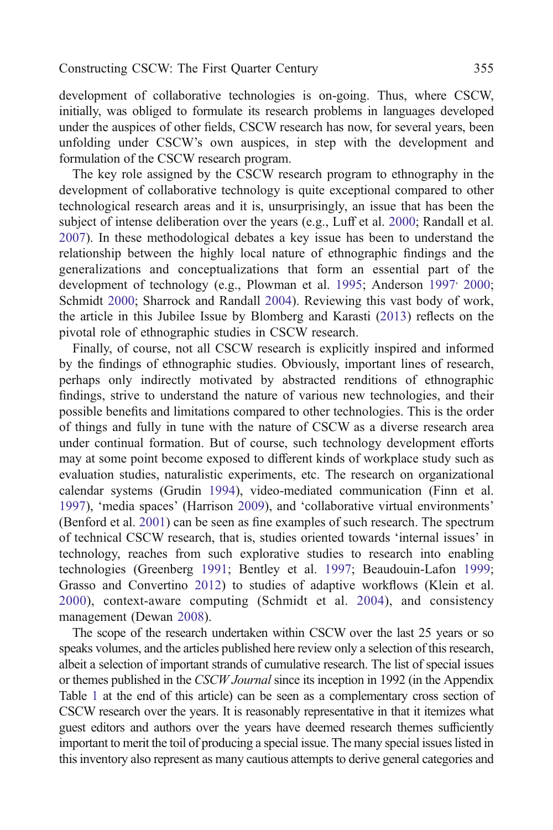development of collaborative technologies is on-going. Thus, where CSCW, initially, was obliged to formulate its research problems in languages developed under the auspices of other fields, CSCW research has now, for several years, been unfolding under CSCW's own auspices, in step with the development and formulation of the CSCW research program.

The key role assigned by the CSCW research program to ethnography in the development of collaborative technology is quite exceptional compared to other technological research areas and it is, unsurprisingly, an issue that has been the subject of intense deliberation over the years (e.g., Luff et al. [2000;](#page-23-0) Randall et al. [2007](#page-25-0)). In these methodological debates a key issue has been to understand the relationship between the highly local nature of ethnographic findings and the generalizations and conceptualizations that form an essential part of the development of technology (e.g., Plowman et al. [1995](#page-24-0); Anderson [1997](#page-16-0)<sup>,</sup> [2000](#page-16-0); Schmidt [2000](#page-25-0); Sharrock and Randall [2004](#page-26-0)). Reviewing this vast body of work, the article in this Jubilee Issue by Blomberg and Karasti ([2013\)](#page-17-0) reflects on the pivotal role of ethnographic studies in CSCW research.

Finally, of course, not all CSCW research is explicitly inspired and informed by the findings of ethnographic studies. Obviously, important lines of research, perhaps only indirectly motivated by abstracted renditions of ethnographic findings, strive to understand the nature of various new technologies, and their possible benefits and limitations compared to other technologies. This is the order of things and fully in tune with the nature of CSCW as a diverse research area under continual formation. But of course, such technology development efforts may at some point become exposed to different kinds of workplace study such as evaluation studies, naturalistic experiments, etc. The research on organizational calendar systems (Grudin [1994](#page-20-0)), video-mediated communication (Finn et al. [1997](#page-19-0)), 'media spaces' (Harrison [2009](#page-21-0)), and 'collaborative virtual environments' (Benford et al. [2001](#page-17-0)) can be seen as fine examples of such research. The spectrum of technical CSCW research, that is, studies oriented towards 'internal issues' in technology, reaches from such explorative studies to research into enabling technologies (Greenberg [1991;](#page-20-0) Bentley et al. [1997](#page-17-0); Beaudouin-Lafon [1999](#page-17-0); Grasso and Convertino [2012\)](#page-20-0) to studies of adaptive workflows (Klein et al. [2000](#page-22-0)), context-aware computing (Schmidt et al. [2004](#page-25-0)), and consistency management (Dewan [2008](#page-19-0)).

The scope of the research undertaken within CSCW over the last 25 years or so speaks volumes, and the articles published here review only a selection of this research, albeit a selection of important strands of cumulative research. The list of special issues or themes published in the *CSCW Journal* since its inception in 1992 (in the Appendix Table [1](#page-14-0) at the end of this article) can be seen as a complementary cross section of CSCW research over the years. It is reasonably representative in that it itemizes what guest editors and authors over the years have deemed research themes sufficiently important to merit the toil of producing a special issue. The many special issues listed in this inventory also represent as many cautious attempts to derive general categories and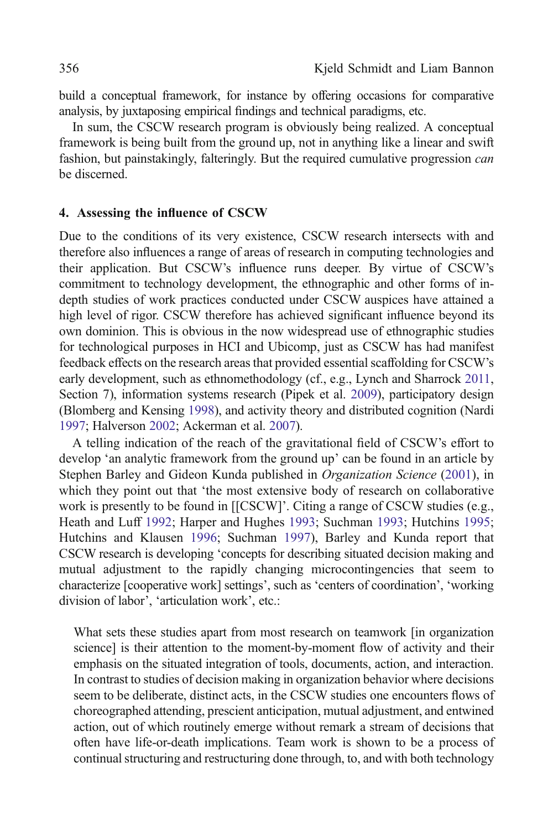build a conceptual framework, for instance by offering occasions for comparative analysis, by juxtaposing empirical findings and technical paradigms, etc.

In sum, the CSCW research program is obviously being realized. A conceptual framework is being built from the ground up, not in anything like a linear and swift fashion, but painstakingly, falteringly. But the required cumulative progression *can* be discerned.

# 4. Assessing the influence of CSCW

Due to the conditions of its very existence, CSCW research intersects with and therefore also influences a range of areas of research in computing technologies and their application. But CSCW's influence runs deeper. By virtue of CSCW's commitment to technology development, the ethnographic and other forms of indepth studies of work practices conducted under CSCW auspices have attained a high level of rigor. CSCW therefore has achieved significant influence beyond its own dominion. This is obvious in the now widespread use of ethnographic studies for technological purposes in HCI and Ubicomp, just as CSCW has had manifest feedback effects on the research areas that provided essential scaffolding for CSCW's early development, such as ethnomethodology (cf., e.g., Lynch and Sharrock [2011](#page-23-0), Section 7), information systems research (Pipek et al. [2009](#page-24-0)), participatory design (Blomberg and Kensing [1998\)](#page-17-0), and activity theory and distributed cognition (Nardi [1997;](#page-23-0) Halverson [2002](#page-20-0); Ackerman et al. [2007](#page-16-0)).

A telling indication of the reach of the gravitational field of CSCW's effort to develop 'an analytic framework from the ground up' can be found in an article by Stephen Barley and Gideon Kunda published in *Organization Science* [\(2001\)](#page-17-0), in which they point out that 'the most extensive body of research on collaborative work is presently to be found in [[CSCW]'. Citing a range of CSCW studies (e.g., Heath and Luff [1992;](#page-21-0) Harper and Hughes [1993;](#page-21-0) Suchman [1993](#page-26-0); Hutchins [1995](#page-22-0); Hutchins and Klausen [1996](#page-22-0); Suchman [1997\)](#page-26-0), Barley and Kunda report that CSCW research is developing 'concepts for describing situated decision making and mutual adjustment to the rapidly changing microcontingencies that seem to characterize [cooperative work] settings', such as 'centers of coordination', 'working division of labor', 'articulation work', etc.:

What sets these studies apart from most research on teamwork [in organization science] is their attention to the moment-by-moment flow of activity and their emphasis on the situated integration of tools, documents, action, and interaction. In contrast to studies of decision making in organization behavior where decisions seem to be deliberate, distinct acts, in the CSCW studies one encounters flows of choreographed attending, prescient anticipation, mutual adjustment, and entwined action, out of which routinely emerge without remark a stream of decisions that often have life-or-death implications. Team work is shown to be a process of continual structuring and restructuring done through, to, and with both technology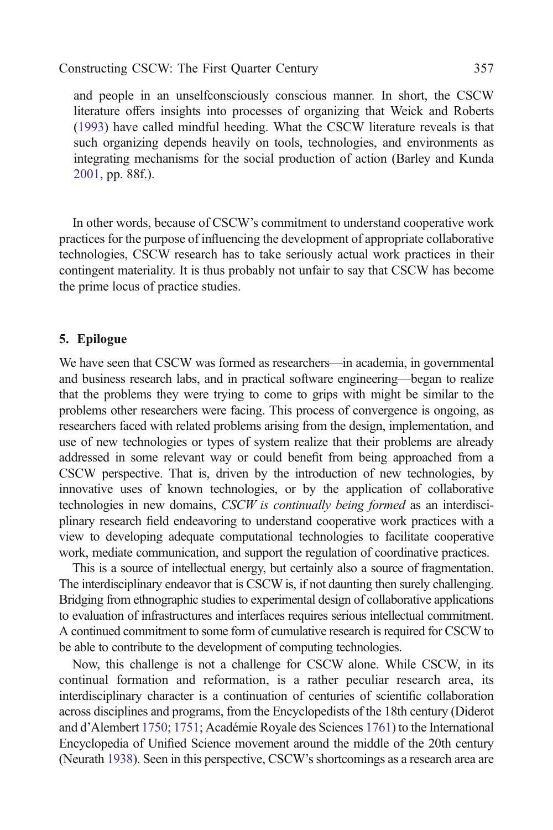and people in an unselfconsciously conscious manner. In short, the CSCW literature offers insights into processes of organizing that Weick and Roberts ([1993](#page-27-0)) have called mindful heeding. What the CSCW literature reveals is that such organizing depends heavily on tools, technologies, and environments as integrating mechanisms for the social production of action (Barley and Kunda [2001,](#page-17-0) pp. 88f.).

In other words, because of CSCW's commitment to understand cooperative work practices for the purpose of influencing the development of appropriate collaborative technologies, CSCW research has to take seriously actual work practices in their contingent materiality. It is thus probably not unfair to say that CSCW has become the prime locus of practice studies.

# 5. Epilogue

We have seen that CSCW was formed as researchers—in academia, in governmental and business research labs, and in practical software engineering—began to realize that the problems they were trying to come to grips with might be similar to the problems other researchers were facing. This process of convergence is ongoing, as researchers faced with related problems arising from the design, implementation, and use of new technologies or types of system realize that their problems are already addressed in some relevant way or could benefit from being approached from a CSCW perspective. That is, driven by the introduction of new technologies, by innovative uses of known technologies, or by the application of collaborative technologies in new domains, CSCW is continually being formed as an interdisciplinary research field endeavoring to understand cooperative work practices with a view to developing adequate computational technologies to facilitate cooperative work, mediate communication, and support the regulation of coordinative practices.

This is a source of intellectual energy, but certainly also a source of fragmentation. The interdisciplinary endeavor that is CSCW is, if not daunting then surely challenging. Bridging from ethnographic studies to experimental design of collaborative applications to evaluation of infrastructures and interfaces requires serious intellectual commitment. A continued commitment to some form of cumulative research is required for CSCW to be able to contribute to the development of computing technologies.

Now, this challenge is not a challenge for CSCW alone. While CSCW, in its continual formation and reformation, is a rather peculiar research area, its interdisciplinary character is a continuation of centuries of scientific collaboration across disciplines and programs, from the Encyclopedists of the 18th century (Diderot and d'Alembert [1750](#page-19-0); [1751;](#page-19-0) Académie Royale des Sciences [1761](#page-16-0)) to the International Encyclopedia of Unified Science movement around the middle of the 20th century (Neurath [1938](#page-24-0)). Seen in this perspective, CSCW's shortcomings as a research area are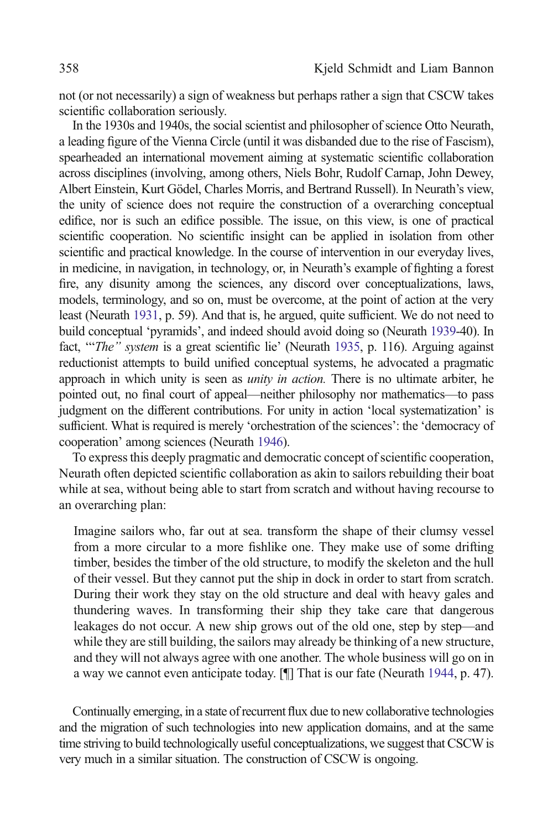not (or not necessarily) a sign of weakness but perhaps rather a sign that CSCW takes scientific collaboration seriously.

In the 1930s and 1940s, the social scientist and philosopher of science Otto Neurath, a leading figure of the Vienna Circle (until it was disbanded due to the rise of Fascism), spearheaded an international movement aiming at systematic scientific collaboration across disciplines (involving, among others, Niels Bohr, Rudolf Carnap, John Dewey, Albert Einstein, Kurt Gödel, Charles Morris, and Bertrand Russell). In Neurath's view, the unity of science does not require the construction of a overarching conceptual edifice, nor is such an edifice possible. The issue, on this view, is one of practical scientific cooperation. No scientific insight can be applied in isolation from other scientific and practical knowledge. In the course of intervention in our everyday lives, in medicine, in navigation, in technology, or, in Neurath's example of fighting a forest fire, any disunity among the sciences, any discord over conceptualizations, laws, models, terminology, and so on, must be overcome, at the point of action at the very least (Neurath [1931](#page-24-0), p. 59). And that is, he argued, quite sufficient. We do not need to build conceptual 'pyramids', and indeed should avoid doing so (Neurath [1939-](#page-24-0)40). In fact, "The" system is a great scientific lie' (Neurath [1935](#page-24-0), p. 116). Arguing against reductionist attempts to build unified conceptual systems, he advocated a pragmatic approach in which unity is seen as unity in action. There is no ultimate arbiter, he pointed out, no final court of appeal—neither philosophy nor mathematics—to pass judgment on the different contributions. For unity in action 'local systematization' is sufficient. What is required is merely 'orchestration of the sciences': the 'democracy of cooperation' among sciences (Neurath [1946\)](#page-24-0).

To express this deeply pragmatic and democratic concept of scientific cooperation, Neurath often depicted scientific collaboration as akin to sailors rebuilding their boat while at sea, without being able to start from scratch and without having recourse to an overarching plan:

Imagine sailors who, far out at sea. transform the shape of their clumsy vessel from a more circular to a more fishlike one. They make use of some drifting timber, besides the timber of the old structure, to modify the skeleton and the hull of their vessel. But they cannot put the ship in dock in order to start from scratch. During their work they stay on the old structure and deal with heavy gales and thundering waves. In transforming their ship they take care that dangerous leakages do not occur. A new ship grows out of the old one, step by step—and while they are still building, the sailors may already be thinking of a new structure, and they will not always agree with one another. The whole business will go on in a way we cannot even anticipate today. [¶] That is our fate (Neurath [1944](#page-24-0), p. 47).

Continually emerging, in a state of recurrent flux due to new collaborative technologies and the migration of such technologies into new application domains, and at the same time striving to build technologically useful conceptualizations, we suggest that CSCW is very much in a similar situation. The construction of CSCW is ongoing.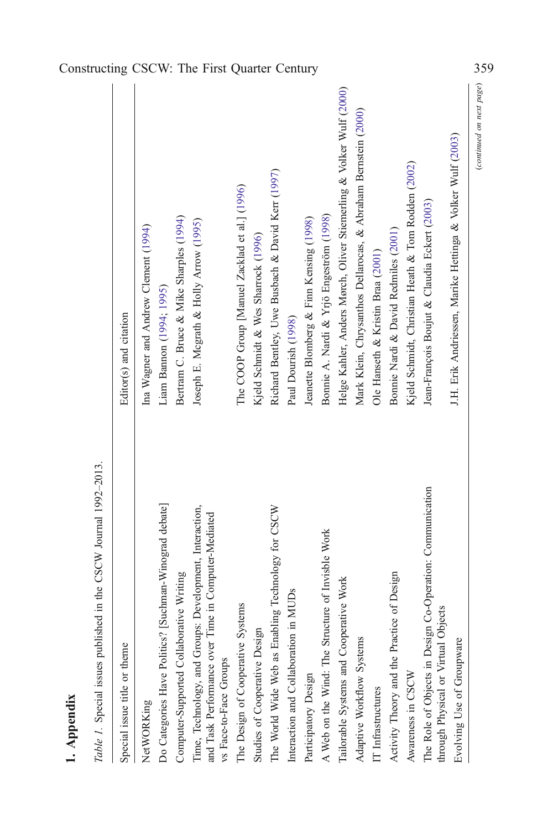| ٦ |
|---|
|   |
|   |
|   |
| ▄ |

<span id="page-14-0"></span>

|             |                                                                  |                              |                                      |                                                        |                                          | Constructing CSCW: The First Quarter Century                                                                                                |                                               |                                     |                                                    |                                       |                                         |                                                      |                                                                     |                                                                |                                   |                                               |                                                    |                                                                                                  |                                                            | 359                      |
|-------------|------------------------------------------------------------------|------------------------------|--------------------------------------|--------------------------------------------------------|------------------------------------------|---------------------------------------------------------------------------------------------------------------------------------------------|-----------------------------------------------|-------------------------------------|----------------------------------------------------|---------------------------------------|-----------------------------------------|------------------------------------------------------|---------------------------------------------------------------------|----------------------------------------------------------------|-----------------------------------|-----------------------------------------------|----------------------------------------------------|--------------------------------------------------------------------------------------------------|------------------------------------------------------------|--------------------------|
|             |                                                                  | Editor(s) and citation       | Ina Wagner and Andrew Clement (1994) | Liam Bannon (1994; 1995)                               | Bertram C. Bruce & Mike Sharples (1994)  | Joseph E. Mograth & Holly Arrow (1995)                                                                                                      | The COOP Group [Manuel Zacklad et al.] (1996) | Kjeld Schmidt & Wes Sharrock (1996) | Richard Bentley, Uwe Busbach & David Kerr (1997)   | Paul Dourish (1998)                   | Jeanette Blomberg & Finn Kensing (1998) | Bonnie A. Nardi & Yrjö Engeström (1998)              | Helge Kahler, Anders Mørch, Oliver Stiemerling & Volker Wulf (2000) | Mark Klein, Chrysanthos Dellarocas, & Abraham Bernstein (2000) | Ole Hanseth & Kristin Braa (2001) | Bonnie Nardi & David Redmiles (2001)          | Kjeld Schmidt, Christian Heath & Tom Rodden (2002) | Jean-François Boujut & Claudia Eckert (2003)                                                     | J.H. Erik Andriessen, Marike Hettinga & Volker Wulf (2003) | (continued on next page) |
| 1. Appendix | Table 1. Special issues published in the CSCW Journal 1992-2013. | Special issue title or theme | NetWORKing                           | Do Categories Have Politics? [Suchman-Winograd debate] | Computer-Supported Collaborative Writing | Time, Technology, and Groups: Development, Interaction,<br>Computer-Mediated<br>and Task Performance over Time in<br>vs Face-to-Face Groups | The Design of Cooperative Systems             | Studies of Cooperative Design       | The World Wide Web as Enabling Technology for CSCW | Interaction and Collaboration in MUDs | Participatory Design                    | of Invisble Work<br>A Web on the Wind: The Structure | Work<br>Tailorable Systems and Cooperative                          | Adaptive Workflow Systems                                      | IT Infrastructures                | Design<br>Activity Theory and the Practice of | Awareness in CSCW                                  | The Role of Objects in Design Co-Operation: Communication<br>through Physical or Virtual Objects | Evolving Use of Groupware                                  |                          |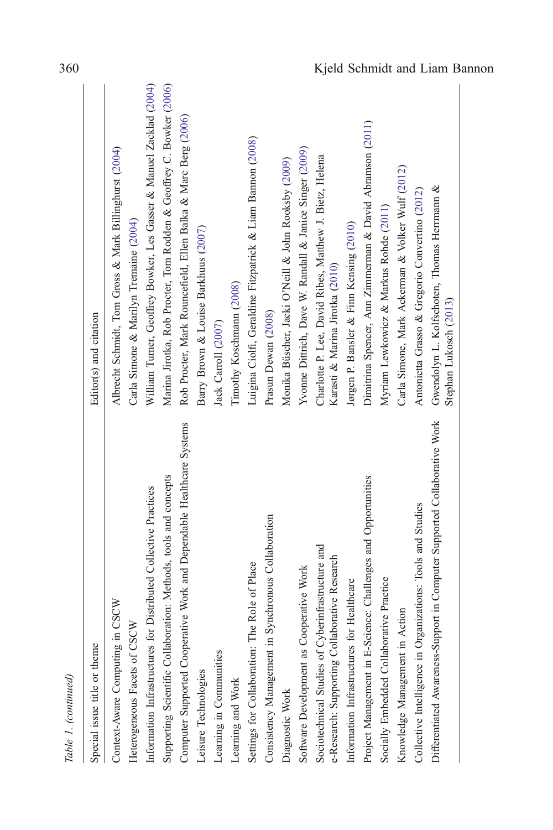| Table 1. (continued)                                                                               |                                                                                            |
|----------------------------------------------------------------------------------------------------|--------------------------------------------------------------------------------------------|
| Special issue title or theme                                                                       | Editor(s) and citation                                                                     |
| CSCW<br>Context-Aware Computing in                                                                 | Albrecht Schmidt, Tom Gross & Mark Billinghurst (2004)                                     |
| Heterogeneous Facets of CSCW                                                                       | Carla Simone & Marilyn Tremaine (2004)                                                     |
| Information Infrastructures for Distributed Collective Practices                                   | William Turner, Geoffrey Bowker, Les Gasser & Manuel Zacklad (2004)                        |
| Supporting Scientific Collaboration: Methods, tools and concepts                                   | Marina Jirotka, Rob Procter, Tom Rodden & Geoffrey C. Bowker (2006)                        |
| Computer Supported Cooperative Work and Dependable Healthcare Systems                              | Rob Procter, Mark Rouncefield, Ellen Balka & Marc Berg (2006)                              |
| Leisure Technologies                                                                               | Barry Brown & Louise Barkhuus (2007)                                                       |
| Learning in Communities                                                                            | Jack Carroll (2007)                                                                        |
| Learning and Work                                                                                  | Timothy Koschmann (2008)                                                                   |
| Settings for Collaboration: The Role of Place                                                      | Luigina Ciolfi, Geraldine Fitzpatrick & Liam Bannon (2008)                                 |
| Consistency Management in Synchronous Collaboration                                                | Prasun Dewan (2008)                                                                        |
| Diagnostic Work                                                                                    | Monika Büscher, Jacki O'Neill & John Rooksby (2009)                                        |
| Software Development as Cooperative Work                                                           | Yvonne Dittrich, Dave W. Randall & Janice Singer (2009)                                    |
| Sociotechnical Studies of Cyberinfrastructure and<br>e-Research: Supporting Collaborative Research | Charlotte P. Lee, David Ribes, Matthew J. Bietz, Helena<br>Karasti & Marina Jirotka (2010) |
| Information Infrastructures for Healthcare                                                         | Jørgen P. Bansler & Finn Kensing (2010)                                                    |
| Project Management in E-Science: Challenges and Opportunities                                      | Dimitrina Spencer, Ann Zimmerman & David Abramson (2011)                                   |
| Socially Embedded Collaborative Practice                                                           | Myriam Lewkowicz & Markus Rohde (2011)                                                     |
| Knowledge Management in Action                                                                     | Carla Simone, Mark Ackerman & Volker Wulf (2012)                                           |
| Collective Intelligence in Organizations: Tools and Studies                                        | Antonietta Grasso & Gregorio Convertino (2012)                                             |
| Differentiated Awareness-Support in Computer Supported Collaborative Work                          | Gwendolyn L. Kolfschoten, Thomas Herrmann &<br>Stephan Lukosch (2013)                      |
|                                                                                                    |                                                                                            |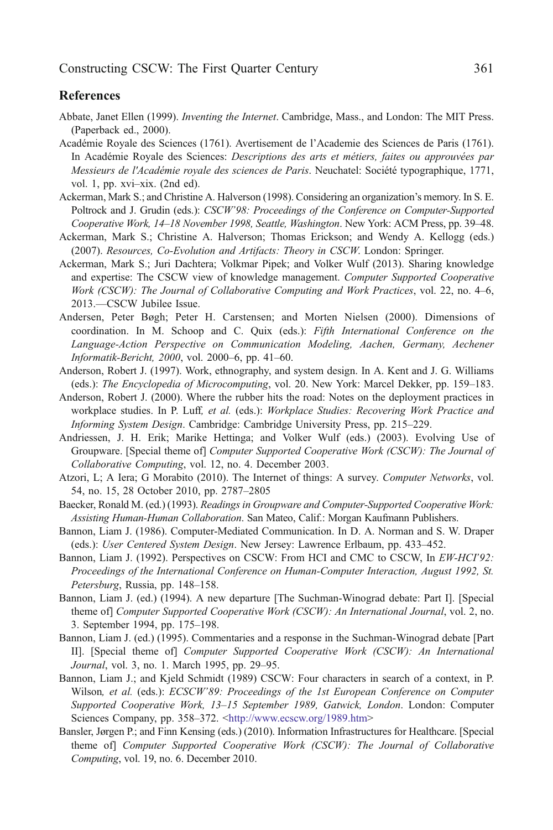### <span id="page-16-0"></span>**References**

- Abbate, Janet Ellen (1999). *Inventing the Internet*. Cambridge, Mass., and London: The MIT Press. (Paperback ed., 2000).
- Académie Royale des Sciences (1761). Avertisement de l'Academie des Sciences de Paris (1761). In Académie Royale des Sciences: *Descriptions des arts et métiers, faites ou approuvées par* Messieurs de l'Académie royale des sciences de Paris. Neuchatel: Société typographique, 1771, vol. 1, pp. xvi–xix. (2nd ed).
- Ackerman, Mark S.; and Christine A. Halverson (1998). Considering an organization's memory. In S. E. Poltrock and J. Grudin (eds.): CSCW'98: Proceedings of the Conference on Computer-Supported Cooperative Work, 14–18 November 1998, Seattle, Washington. New York: ACM Press, pp. 39–48.
- Ackerman, Mark S.; Christine A. Halverson; Thomas Erickson; and Wendy A. Kellogg (eds.) (2007). Resources, Co-Evolution and Artifacts: Theory in CSCW. London: Springer.
- Ackerman, Mark S.; Juri Dachtera; Volkmar Pipek; and Volker Wulf (2013). Sharing knowledge and expertise: The CSCW view of knowledge management. Computer Supported Cooperative Work (CSCW): The Journal of Collaborative Computing and Work Practices, vol. 22, no. 4–6, 2013.—CSCW Jubilee Issue.
- Andersen, Peter Bøgh; Peter H. Carstensen; and Morten Nielsen (2000). Dimensions of coordination. In M. Schoop and C. Quix (eds.): Fifth International Conference on the Language-Action Perspective on Communication Modeling, Aachen, Germany, Aechener Informatik-Bericht, 2000, vol. 2000–6, pp. 41–60.
- Anderson, Robert J. (1997). Work, ethnography, and system design. In A. Kent and J. G. Williams (eds.): The Encyclopedia of Microcomputing, vol. 20. New York: Marcel Dekker, pp. 159–183.
- Anderson, Robert J. (2000). Where the rubber hits the road: Notes on the deployment practices in workplace studies. In P. Luff, et al. (eds.): Workplace Studies: Recovering Work Practice and Informing System Design. Cambridge: Cambridge University Press, pp. 215–229.
- Andriessen, J. H. Erik; Marike Hettinga; and Volker Wulf (eds.) (2003). Evolving Use of Groupware. [Special theme of] Computer Supported Cooperative Work (CSCW): The Journal of Collaborative Computing, vol. 12, no. 4. December 2003.
- Atzori, L; A Iera; G Morabito (2010). The Internet of things: A survey. Computer Networks, vol. 54, no. 15, 28 October 2010, pp. 2787–2805
- Baecker, Ronald M. (ed.) (1993). Readings in Groupware and Computer-Supported Cooperative Work: Assisting Human-Human Collaboration. San Mateo, Calif.: Morgan Kaufmann Publishers.
- Bannon, Liam J. (1986). Computer-Mediated Communication. In D. A. Norman and S. W. Draper (eds.): User Centered System Design. New Jersey: Lawrence Erlbaum, pp. 433–452.
- Bannon, Liam J. (1992). Perspectives on CSCW: From HCI and CMC to CSCW, In *EW-HCI'92*: Proceedings of the International Conference on Human-Computer Interaction, August 1992, St. Petersburg, Russia, pp. 148–158.
- Bannon, Liam J. (ed.) (1994). A new departure [The Suchman-Winograd debate: Part I]. [Special theme of] Computer Supported Cooperative Work (CSCW): An International Journal, vol. 2, no. 3. September 1994, pp. 175–198.
- Bannon, Liam J. (ed.) (1995). Commentaries and a response in the Suchman-Winograd debate [Part II]. [Special theme of] Computer Supported Cooperative Work (CSCW): An International Journal, vol. 3, no. 1. March 1995, pp. 29–95.
- Bannon, Liam J.; and Kjeld Schmidt (1989) CSCW: Four characters in search of a context, in P. Wilson, et al. (eds.): ECSCW'89: Proceedings of the 1st European Conference on Computer Supported Cooperative Work, 13–15 September 1989, Gatwick, London. London: Computer Sciences Company, pp. 358–372. <<http://www.ecscw.org/1989.htm>>
- Bansler, Jørgen P.; and Finn Kensing (eds.) (2010). Information Infrastructures for Healthcare. [Special theme of] Computer Supported Cooperative Work (CSCW): The Journal of Collaborative Computing, vol. 19, no. 6. December 2010.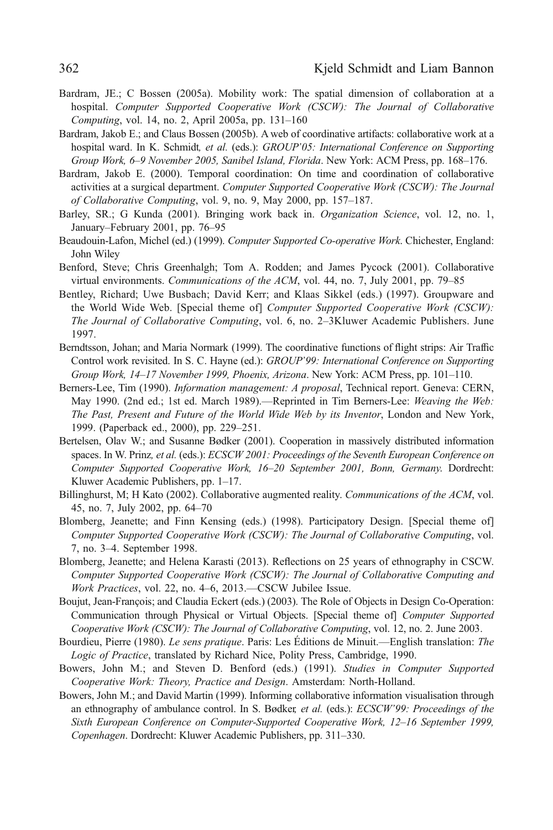- <span id="page-17-0"></span>Bardram, JE.; C Bossen (2005a). Mobility work: The spatial dimension of collaboration at a hospital. Computer Supported Cooperative Work (CSCW): The Journal of Collaborative Computing, vol. 14, no. 2, April 2005a, pp. 131–160
- Bardram, Jakob E.; and Claus Bossen (2005b). A web of coordinative artifacts: collaborative work at a hospital ward. In K. Schmidt, et al. (eds.): GROUP'05: International Conference on Supporting Group Work, 6–9 November 2005, Sanibel Island, Florida. New York: ACM Press, pp. 168–176.
- Bardram, Jakob E. (2000). Temporal coordination: On time and coordination of collaborative activities at a surgical department. Computer Supported Cooperative Work (CSCW): The Journal of Collaborative Computing, vol. 9, no. 9, May 2000, pp. 157–187.
- Barley, SR.; G Kunda (2001). Bringing work back in. *Organization Science*, vol. 12, no. 1, January–February 2001, pp. 76–95
- Beaudouin-Lafon, Michel (ed.) (1999). Computer Supported Co-operative Work. Chichester, England: John Wiley
- Benford, Steve; Chris Greenhalgh; Tom A. Rodden; and James Pycock (2001). Collaborative virtual environments. Communications of the ACM, vol. 44, no. 7, July 2001, pp. 79–85
- Bentley, Richard; Uwe Busbach; David Kerr; and Klaas Sikkel (eds.) (1997). Groupware and the World Wide Web. [Special theme of] Computer Supported Cooperative Work (CSCW): The Journal of Collaborative Computing, vol. 6, no. 2–3Kluwer Academic Publishers. June 1997.
- Berndtsson, Johan; and Maria Normark (1999). The coordinative functions of flight strips: Air Traffic Control work revisited. In S. C. Hayne (ed.): GROUP'99: International Conference on Supporting Group Work, 14–17 November 1999, Phoenix, Arizona. New York: ACM Press, pp. 101–110.
- Berners-Lee, Tim (1990). Information management: A proposal, Technical report. Geneva: CERN, May 1990. (2nd ed.; 1st ed. March 1989).—Reprinted in Tim Berners-Lee: Weaving the Web: The Past, Present and Future of the World Wide Web by its Inventor, London and New York, 1999. (Paperback ed., 2000), pp. 229–251.
- Bertelsen, Olav W.; and Susanne Bødker (2001). Cooperation in massively distributed information spaces. In W. Prinz, et al. (eds.): ECSCW 2001: Proceedings of the Seventh European Conference on Computer Supported Cooperative Work, 16–20 September 2001, Bonn, Germany. Dordrecht: Kluwer Academic Publishers, pp. 1–17.
- Billinghurst, M; H Kato (2002). Collaborative augmented reality. Communications of the ACM, vol. 45, no. 7, July 2002, pp. 64–70
- Blomberg, Jeanette; and Finn Kensing (eds.) (1998). Participatory Design. [Special theme of] Computer Supported Cooperative Work (CSCW): The Journal of Collaborative Computing, vol. 7, no. 3–4. September 1998.
- Blomberg, Jeanette; and Helena Karasti (2013). Reflections on 25 years of ethnography in CSCW. Computer Supported Cooperative Work (CSCW): The Journal of Collaborative Computing and Work Practices, vol. 22, no. 4–6, 2013.—CSCW Jubilee Issue.
- Boujut, Jean-François; and Claudia Eckert (eds.) (2003). The Role of Objects in Design Co-Operation: Communication through Physical or Virtual Objects. [Special theme of] Computer Supported Cooperative Work (CSCW): The Journal of Collaborative Computing, vol. 12, no. 2. June 2003.
- Bourdieu, Pierre (1980). Le sens pratique. Paris: Les Éditions de Minuit.—English translation: The Logic of Practice, translated by Richard Nice, Polity Press, Cambridge, 1990.
- Bowers, John M.; and Steven D. Benford (eds.) (1991). Studies in Computer Supported Cooperative Work: Theory, Practice and Design. Amsterdam: North-Holland.
- Bowers, John M.; and David Martin (1999). Informing collaborative information visualisation through an ethnography of ambulance control. In S. Bødker, et al. (eds.): ECSCW'99: Proceedings of the Sixth European Conference on Computer-Supported Cooperative Work, 12–16 September 1999, Copenhagen. Dordrecht: Kluwer Academic Publishers, pp. 311–330.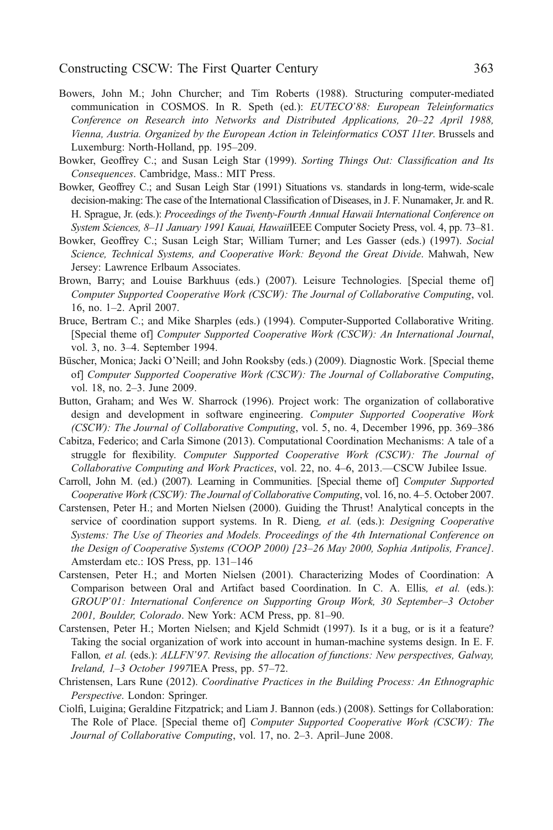- <span id="page-18-0"></span>Bowers, John M.; John Churcher; and Tim Roberts (1988). Structuring computer-mediated communication in COSMOS. In R. Speth (ed.): EUTECO'88: European Teleinformatics Conference on Research into Networks and Distributed Applications, 20–22 April 1988, Vienna, Austria. Organized by the European Action in Teleinformatics COST 11ter. Brussels and Luxemburg: North-Holland, pp. 195–209.
- Bowker, Geoffrey C.; and Susan Leigh Star (1999). Sorting Things Out: Classification and Its Consequences. Cambridge, Mass.: MIT Press.
- Bowker, Geoffrey C.; and Susan Leigh Star (1991) Situations vs. standards in long-term, wide-scale decision-making: The case of the International Classification of Diseases, in J. F. Nunamaker, Jr. and R. H. Sprague, Jr. (eds.): Proceedings of the Twenty-Fourth Annual Hawaii International Conference on System Sciences, 8–11 January 1991 Kauai, HawaiiIEEE Computer Society Press, vol. 4, pp. 73–81.
- Bowker, Geoffrey C.; Susan Leigh Star; William Turner; and Les Gasser (eds.) (1997). Social Science, Technical Systems, and Cooperative Work: Beyond the Great Divide. Mahwah, New Jersey: Lawrence Erlbaum Associates.
- Brown, Barry; and Louise Barkhuus (eds.) (2007). Leisure Technologies. [Special theme of] Computer Supported Cooperative Work (CSCW): The Journal of Collaborative Computing, vol. 16, no. 1–2. April 2007.
- Bruce, Bertram C.; and Mike Sharples (eds.) (1994). Computer-Supported Collaborative Writing. [Special theme of] Computer Supported Cooperative Work (CSCW): An International Journal, vol. 3, no. 3–4. September 1994.
- Büscher, Monica; Jacki O'Neill; and John Rooksby (eds.) (2009). Diagnostic Work. [Special theme of] Computer Supported Cooperative Work (CSCW): The Journal of Collaborative Computing, vol. 18, no. 2–3. June 2009.
- Button, Graham; and Wes W. Sharrock (1996). Project work: The organization of collaborative design and development in software engineering. Computer Supported Cooperative Work (CSCW): The Journal of Collaborative Computing, vol. 5, no. 4, December 1996, pp. 369–386
- Cabitza, Federico; and Carla Simone (2013). Computational Coordination Mechanisms: A tale of a struggle for flexibility. Computer Supported Cooperative Work (CSCW): The Journal of Collaborative Computing and Work Practices, vol. 22, no. 4–6, 2013.—CSCW Jubilee Issue.
- Carroll, John M. (ed.) (2007). Learning in Communities. [Special theme of] Computer Supported Cooperative Work (CSCW): The Journal of Collaborative Computing, vol. 16, no. 4–5. October 2007.
- Carstensen, Peter H.; and Morten Nielsen (2000). Guiding the Thrust! Analytical concepts in the service of coordination support systems. In R. Dieng, et al. (eds.): Designing Cooperative Systems: The Use of Theories and Models. Proceedings of the 4th International Conference on the Design of Cooperative Systems (COOP 2000) [23–26 May 2000, Sophia Antipolis, France]. Amsterdam etc.: IOS Press, pp. 131–146
- Carstensen, Peter H.; and Morten Nielsen (2001). Characterizing Modes of Coordination: A Comparison between Oral and Artifact based Coordination. In C. A. Ellis, et al. (eds.): GROUP'01: International Conference on Supporting Group Work, 30 September–3 October 2001, Boulder, Colorado. New York: ACM Press, pp. 81–90.
- Carstensen, Peter H.; Morten Nielsen; and Kjeld Schmidt (1997). Is it a bug, or is it a feature? Taking the social organization of work into account in human-machine systems design. In E. F. Fallon, et al. (eds.): ALLFN'97. Revising the allocation of functions: New perspectives, Galway, Ireland, 1–3 October 1997IEA Press, pp. 57–72.
- Christensen, Lars Rune (2012). Coordinative Practices in the Building Process: An Ethnographic Perspective. London: Springer.
- Ciolfi, Luigina; Geraldine Fitzpatrick; and Liam J. Bannon (eds.) (2008). Settings for Collaboration: The Role of Place. [Special theme of] Computer Supported Cooperative Work (CSCW): The Journal of Collaborative Computing, vol. 17, no. 2–3. April–June 2008.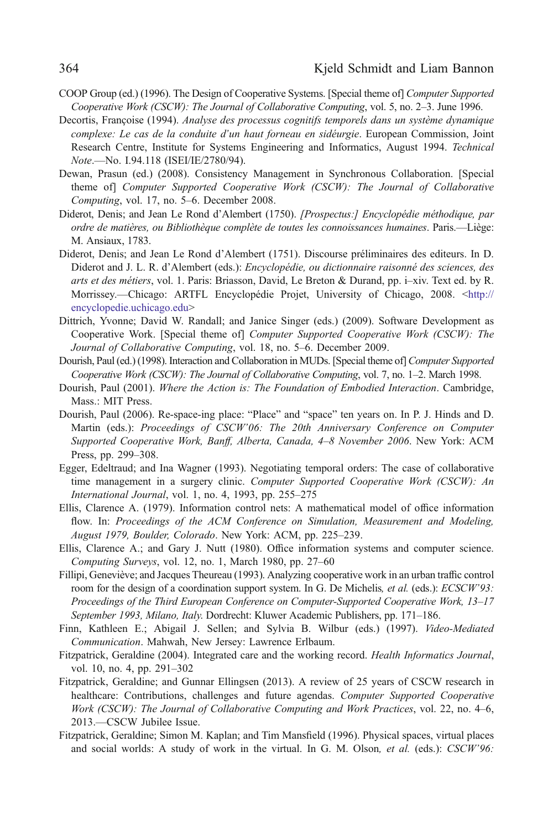- <span id="page-19-0"></span>COOP Group (ed.) (1996). The Design of Cooperative Systems. [Special theme of] Computer Supported Cooperative Work (CSCW): The Journal of Collaborative Computing, vol. 5, no. 2–3. June 1996.
- Decortis, Françoise (1994). Analyse des processus cognitifs temporels dans un système dynamique complexe: Le cas de la conduite d'un haut forneau en sidéurgie. European Commission, Joint Research Centre, Institute for Systems Engineering and Informatics, August 1994. Technical Note.—No. I.94.118 (ISEI/IE/2780/94).
- Dewan, Prasun (ed.) (2008). Consistency Management in Synchronous Collaboration. [Special theme of] Computer Supported Cooperative Work (CSCW): The Journal of Collaborative Computing, vol. 17, no. 5–6. December 2008.
- Diderot, Denis; and Jean Le Rond d'Alembert (1750). [Prospectus:] Encyclopédie méthodique, par ordre de matières, ou Bibliothèque complète de toutes les connoissances humaines. Paris.—Liège: M. Ansiaux, 1783.
- Diderot, Denis; and Jean Le Rond d'Alembert (1751). Discourse préliminaires des editeurs. In D. Diderot and J. L. R. d'Alembert (eds.): Encyclopédie, ou dictionnaire raisonné des sciences, des arts et des métiers, vol. 1. Paris: Briasson, David, Le Breton & Durand, pp. i–xiv. Text ed. by R. Morrissey.—Chicago: ARTFL Encyclopédie Projet, University of Chicago, 2008. <[http://](http://encyclopedie.uchicago.edu/) [encyclopedie.uchicago.edu>](http://encyclopedie.uchicago.edu/)
- Dittrich, Yvonne; David W. Randall; and Janice Singer (eds.) (2009). Software Development as Cooperative Work. [Special theme of] Computer Supported Cooperative Work (CSCW): The Journal of Collaborative Computing, vol. 18, no. 5–6. December 2009.
- Dourish, Paul (ed.) (1998). Interaction and Collaboration in MUDs. [Special theme of] Computer Supported Cooperative Work (CSCW): The Journal of Collaborative Computing, vol. 7, no. 1–2. March 1998.
- Dourish, Paul (2001). Where the Action is: The Foundation of Embodied Interaction. Cambridge, Mass.: MIT Press.
- Dourish, Paul (2006). Re-space-ing place: "Place" and "space" ten years on. In P. J. Hinds and D. Martin (eds.): Proceedings of CSCW'06: The 20th Anniversary Conference on Computer Supported Cooperative Work, Banff, Alberta, Canada, 4–8 November 2006. New York: ACM Press, pp. 299–308.
- Egger, Edeltraud; and Ina Wagner (1993). Negotiating temporal orders: The case of collaborative time management in a surgery clinic. Computer Supported Cooperative Work (CSCW): An International Journal, vol. 1, no. 4, 1993, pp. 255–275
- Ellis, Clarence A. (1979). Information control nets: A mathematical model of office information flow. In: Proceedings of the ACM Conference on Simulation, Measurement and Modeling, August 1979, Boulder, Colorado. New York: ACM, pp. 225–239.
- Ellis, Clarence A.; and Gary J. Nutt (1980). Office information systems and computer science. Computing Surveys, vol. 12, no. 1, March 1980, pp. 27–60
- Fillipi, Geneviève; and Jacques Theureau (1993). Analyzing cooperative work in an urban traffic control room for the design of a coordination support system. In G. De Michelis, et al. (eds.): ECSCW'93: Proceedings of the Third European Conference on Computer-Supported Cooperative Work, 13–17 September 1993, Milano, Italy. Dordrecht: Kluwer Academic Publishers, pp. 171–186.
- Finn, Kathleen E.; Abigail J. Sellen; and Sylvia B. Wilbur (eds.) (1997). Video-Mediated Communication. Mahwah, New Jersey: Lawrence Erlbaum.
- Fitzpatrick, Geraldine (2004). Integrated care and the working record. Health Informatics Journal, vol. 10, no. 4, pp. 291–302
- Fitzpatrick, Geraldine; and Gunnar Ellingsen (2013). A review of 25 years of CSCW research in healthcare: Contributions, challenges and future agendas. Computer Supported Cooperative Work (CSCW): The Journal of Collaborative Computing and Work Practices, vol. 22, no. 4–6, 2013.—CSCW Jubilee Issue.
- Fitzpatrick, Geraldine; Simon M. Kaplan; and Tim Mansfield (1996). Physical spaces, virtual places and social worlds: A study of work in the virtual. In G. M. Olson, et al. (eds.): CSCW'96: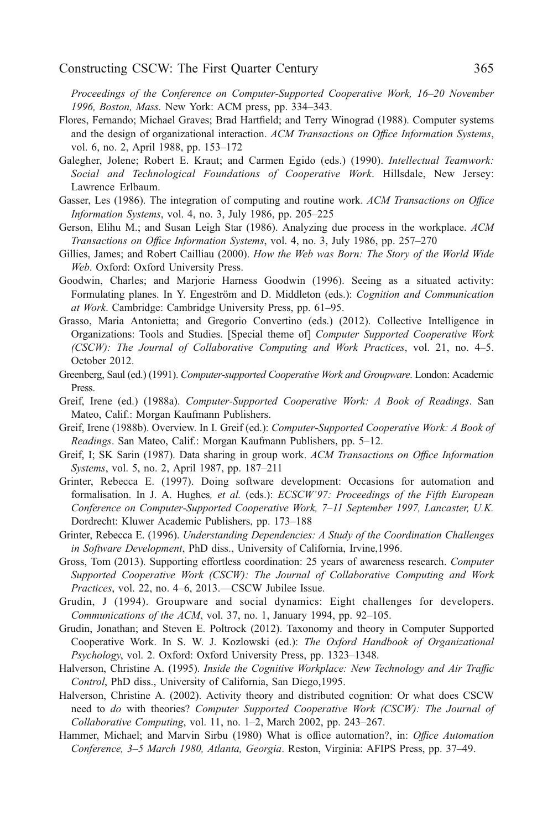<span id="page-20-0"></span>Proceedings of the Conference on Computer-Supported Cooperative Work, 16–20 November 1996, Boston, Mass. New York: ACM press, pp. 334–343.

- Flores, Fernando; Michael Graves; Brad Hartfield; and Terry Winograd (1988). Computer systems and the design of organizational interaction. ACM Transactions on Office Information Systems, vol. 6, no. 2, April 1988, pp. 153–172
- Galegher, Jolene; Robert E. Kraut; and Carmen Egido (eds.) (1990). Intellectual Teamwork: Social and Technological Foundations of Cooperative Work. Hillsdale, New Jersey: Lawrence Erlbaum.
- Gasser, Les (1986). The integration of computing and routine work. ACM Transactions on Office Information Systems, vol. 4, no. 3, July 1986, pp. 205–225
- Gerson, Elihu M.; and Susan Leigh Star (1986). Analyzing due process in the workplace. ACM Transactions on Office Information Systems, vol. 4, no. 3, July 1986, pp. 257–270
- Gillies, James; and Robert Cailliau (2000). How the Web was Born: The Story of the World Wide Web. Oxford: Oxford University Press.
- Goodwin, Charles; and Marjorie Harness Goodwin (1996). Seeing as a situated activity: Formulating planes. In Y. Engeström and D. Middleton (eds.): Cognition and Communication at Work. Cambridge: Cambridge University Press, pp. 61–95.
- Grasso, Maria Antonietta; and Gregorio Convertino (eds.) (2012). Collective Intelligence in Organizations: Tools and Studies. [Special theme of] Computer Supported Cooperative Work (CSCW): The Journal of Collaborative Computing and Work Practices, vol. 21, no. 4–5. October 2012.
- Greenberg, Saul (ed.) (1991). Computer-supported Cooperative Work and Groupware. London: Academic Press.
- Greif, Irene (ed.) (1988a). Computer-Supported Cooperative Work: A Book of Readings. San Mateo, Calif.: Morgan Kaufmann Publishers.
- Greif, Irene (1988b). Overview. In I. Greif (ed.): Computer-Supported Cooperative Work: A Book of Readings. San Mateo, Calif.: Morgan Kaufmann Publishers, pp. 5–12.
- Greif, I; SK Sarin (1987). Data sharing in group work. ACM Transactions on Office Information Systems, vol. 5, no. 2, April 1987, pp. 187–211
- Grinter, Rebecca E. (1997). Doing software development: Occasions for automation and formalisation. In J. A. Hughes, et al. (eds.): ECSCW'97: Proceedings of the Fifth European Conference on Computer-Supported Cooperative Work, 7–11 September 1997, Lancaster, U.K. Dordrecht: Kluwer Academic Publishers, pp. 173–188
- Grinter, Rebecca E. (1996). Understanding Dependencies: A Study of the Coordination Challenges in Software Development, PhD diss., University of California, Irvine,1996.
- Gross, Tom (2013). Supporting effortless coordination: 25 years of awareness research. Computer Supported Cooperative Work (CSCW): The Journal of Collaborative Computing and Work Practices, vol. 22, no. 4–6, 2013.—CSCW Jubilee Issue.
- Grudin, J (1994). Groupware and social dynamics: Eight challenges for developers. Communications of the ACM, vol. 37, no. 1, January 1994, pp. 92–105.
- Grudin, Jonathan; and Steven E. Poltrock (2012). Taxonomy and theory in Computer Supported Cooperative Work. In S. W. J. Kozlowski (ed.): The Oxford Handbook of Organizational Psychology, vol. 2. Oxford: Oxford University Press, pp. 1323–1348.
- Halverson, Christine A. (1995). Inside the Cognitive Workplace: New Technology and Air Traffic Control, PhD diss., University of California, San Diego,1995.
- Halverson, Christine A. (2002). Activity theory and distributed cognition: Or what does CSCW need to do with theories? Computer Supported Cooperative Work (CSCW): The Journal of Collaborative Computing, vol. 11, no. 1–2, March 2002, pp. 243–267.
- Hammer, Michael; and Marvin Sirbu (1980) What is office automation?, in: Office Automation Conference, 3–5 March 1980, Atlanta, Georgia. Reston, Virginia: AFIPS Press, pp. 37–49.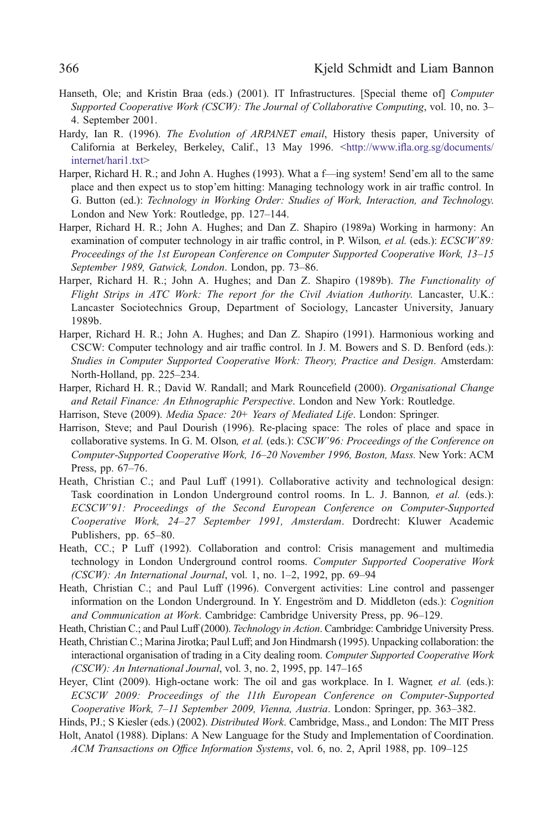- <span id="page-21-0"></span>Hanseth, Ole; and Kristin Braa (eds.) (2001). IT Infrastructures. [Special theme of] *Computer* Supported Cooperative Work (CSCW): The Journal of Collaborative Computing, vol. 10, no. 3– 4. September 2001.
- Hardy, Ian R. (1996). The Evolution of ARPANET email, History thesis paper, University of California at Berkeley, Berkeley, Calif., 13 May 1996. <http://www.ifl[a.org.sg/documents/](http://www.ifla.org.sg/documents/internet/hari1.txt) [internet/hari1.txt>](http://www.ifla.org.sg/documents/internet/hari1.txt)
- Harper, Richard H. R.; and John A. Hughes (1993). What a f—ing system! Send'em all to the same place and then expect us to stop'em hitting: Managing technology work in air traffic control. In G. Button (ed.): Technology in Working Order: Studies of Work, Interaction, and Technology. London and New York: Routledge, pp. 127–144.
- Harper, Richard H. R.; John A. Hughes; and Dan Z. Shapiro (1989a) Working in harmony: An examination of computer technology in air traffic control, in P. Wilson, et al. (eds.): ECSCW'89: Proceedings of the 1st European Conference on Computer Supported Cooperative Work, 13–15 September 1989, Gatwick, London. London, pp. 73–86.
- Harper, Richard H. R.; John A. Hughes; and Dan Z. Shapiro (1989b). The Functionality of Flight Strips in ATC Work: The report for the Civil Aviation Authority. Lancaster, U.K.: Lancaster Sociotechnics Group, Department of Sociology, Lancaster University, January 1989b.
- Harper, Richard H. R.; John A. Hughes; and Dan Z. Shapiro (1991). Harmonious working and CSCW: Computer technology and air traffic control. In J. M. Bowers and S. D. Benford (eds.): Studies in Computer Supported Cooperative Work: Theory, Practice and Design. Amsterdam: North-Holland, pp. 225–234.
- Harper, Richard H. R.; David W. Randall; and Mark Rouncefield (2000). Organisational Change and Retail Finance: An Ethnographic Perspective. London and New York: Routledge.
- Harrison, Steve (2009). Media Space: 20+ Years of Mediated Life. London: Springer.
- Harrison, Steve; and Paul Dourish (1996). Re-placing space: The roles of place and space in collaborative systems. In G. M. Olson, et al. (eds.): CSCW'96: Proceedings of the Conference on Computer-Supported Cooperative Work, 16–20 November 1996, Boston, Mass. New York: ACM Press, pp. 67–76.
- Heath, Christian C.; and Paul Luff (1991). Collaborative activity and technological design: Task coordination in London Underground control rooms. In L. J. Bannon, et al. (eds.): ECSCW'91: Proceedings of the Second European Conference on Computer-Supported Cooperative Work, 24–27 September 1991, Amsterdam. Dordrecht: Kluwer Academic Publishers, pp. 65–80.
- Heath, CC.; P Luff (1992). Collaboration and control: Crisis management and multimedia technology in London Underground control rooms. Computer Supported Cooperative Work  $(CSCW)$ : An International Journal, vol. 1, no. 1–2, 1992, pp. 69–94
- Heath, Christian C.; and Paul Luff (1996). Convergent activities: Line control and passenger information on the London Underground. In Y. Engeström and D. Middleton (eds.): Cognition and Communication at Work. Cambridge: Cambridge University Press, pp. 96–129.

Heath, Christian C.; and Paul Luff (2000). *Technology in Action*. Cambridge: Cambridge University Press.

- Heath, Christian C.; Marina Jirotka; Paul Luff; and Jon Hindmarsh (1995). Unpacking collaboration: the interactional organisation of trading in a City dealing room. Computer Supported Cooperative Work (CSCW): An International Journal, vol. 3, no. 2, 1995, pp. 147–165
- Heyer, Clint (2009). High-octane work: The oil and gas workplace. In I. Wagner, et al. (eds.): ECSCW 2009: Proceedings of the 11th European Conference on Computer-Supported Cooperative Work, 7–11 September 2009, Vienna, Austria. London: Springer, pp. 363–382.

Hinds, PJ.; S Kiesler (eds.) (2002). Distributed Work. Cambridge, Mass., and London: The MIT Press Holt, Anatol (1988). Diplans: A New Language for the Study and Implementation of Coordination.

ACM Transactions on Office Information Systems, vol. 6, no. 2, April 1988, pp. 109–125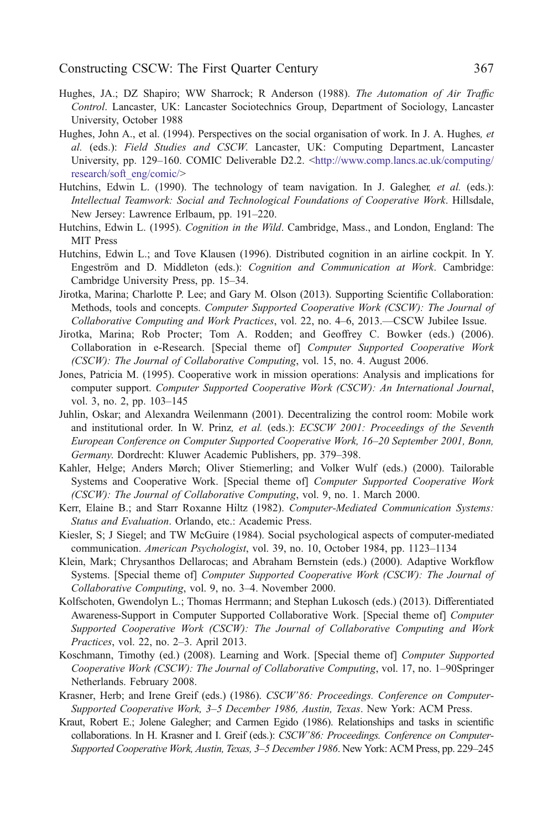- <span id="page-22-0"></span>Hughes, JA.; DZ Shapiro; WW Sharrock; R Anderson (1988). The Automation of Air Traffic Control. Lancaster, UK: Lancaster Sociotechnics Group, Department of Sociology, Lancaster University, October 1988
- Hughes, John A., et al. (1994). Perspectives on the social organisation of work. In J. A. Hughes, et al. (eds.): Field Studies and CSCW. Lancaster, UK: Computing Department, Lancaster University, pp. 129–160. COMIC Deliverable D2.2. [<http://www.comp.lancs.ac.uk/computing/](http://www.comp.lancs.ac.uk/computing/research/soft_eng/comic/) [research/soft\\_eng/comic/](http://www.comp.lancs.ac.uk/computing/research/soft_eng/comic/)>
- Hutchins, Edwin L. (1990). The technology of team navigation. In J. Galegher, et al. (eds.): Intellectual Teamwork: Social and Technological Foundations of Cooperative Work. Hillsdale, New Jersey: Lawrence Erlbaum, pp. 191–220.
- Hutchins, Edwin L. (1995). *Cognition in the Wild.* Cambridge, Mass., and London, England: The MIT Press
- Hutchins, Edwin L.; and Tove Klausen (1996). Distributed cognition in an airline cockpit. In Y. Engeström and D. Middleton (eds.): Cognition and Communication at Work. Cambridge: Cambridge University Press, pp. 15–34.
- Jirotka, Marina; Charlotte P. Lee; and Gary M. Olson (2013). Supporting Scientific Collaboration: Methods, tools and concepts. Computer Supported Cooperative Work (CSCW): The Journal of Collaborative Computing and Work Practices, vol. 22, no. 4–6, 2013.—CSCW Jubilee Issue.
- Jirotka, Marina; Rob Procter; Tom A. Rodden; and Geoffrey C. Bowker (eds.) (2006). Collaboration in e-Research. [Special theme of] Computer Supported Cooperative Work (CSCW): The Journal of Collaborative Computing, vol. 15, no. 4. August 2006.
- Jones, Patricia M. (1995). Cooperative work in mission operations: Analysis and implications for computer support. Computer Supported Cooperative Work (CSCW): An International Journal, vol. 3, no. 2, pp. 103–145
- Juhlin, Oskar; and Alexandra Weilenmann (2001). Decentralizing the control room: Mobile work and institutional order. In W. Prinz, et al. (eds.): ECSCW 2001: Proceedings of the Seventh European Conference on Computer Supported Cooperative Work, 16–20 September 2001, Bonn, Germany. Dordrecht: Kluwer Academic Publishers, pp. 379–398.
- Kahler, Helge; Anders Mørch; Oliver Stiemerling; and Volker Wulf (eds.) (2000). Tailorable Systems and Cooperative Work. [Special theme of] Computer Supported Cooperative Work (CSCW): The Journal of Collaborative Computing, vol. 9, no. 1. March 2000.
- Kerr, Elaine B.; and Starr Roxanne Hiltz (1982). Computer-Mediated Communication Systems: Status and Evaluation. Orlando, etc.: Academic Press.
- Kiesler, S; J Siegel; and TW McGuire (1984). Social psychological aspects of computer-mediated communication. American Psychologist, vol. 39, no. 10, October 1984, pp. 1123-1134
- Klein, Mark; Chrysanthos Dellarocas; and Abraham Bernstein (eds.) (2000). Adaptive Workflow Systems. [Special theme of] Computer Supported Cooperative Work (CSCW): The Journal of Collaborative Computing, vol. 9, no. 3–4. November 2000.
- Kolfschoten, Gwendolyn L.; Thomas Herrmann; and Stephan Lukosch (eds.) (2013). Differentiated Awareness-Support in Computer Supported Collaborative Work. [Special theme of] Computer Supported Cooperative Work (CSCW): The Journal of Collaborative Computing and Work Practices, vol. 22, no. 2–3. April 2013.
- Koschmann, Timothy (ed.) (2008). Learning and Work. [Special theme of] Computer Supported Cooperative Work (CSCW): The Journal of Collaborative Computing, vol. 17, no. 1–90Springer Netherlands. February 2008.
- Krasner, Herb; and Irene Greif (eds.) (1986). CSCW'86: Proceedings. Conference on Computer-Supported Cooperative Work, 3–5 December 1986, Austin, Texas. New York: ACM Press.
- Kraut, Robert E.; Jolene Galegher; and Carmen Egido (1986). Relationships and tasks in scientific collaborations. In H. Krasner and I. Greif (eds.): CSCW'86: Proceedings. Conference on Computer-Supported Cooperative Work, Austin, Texas, 3–5 December 1986. New York: ACM Press, pp. 229–245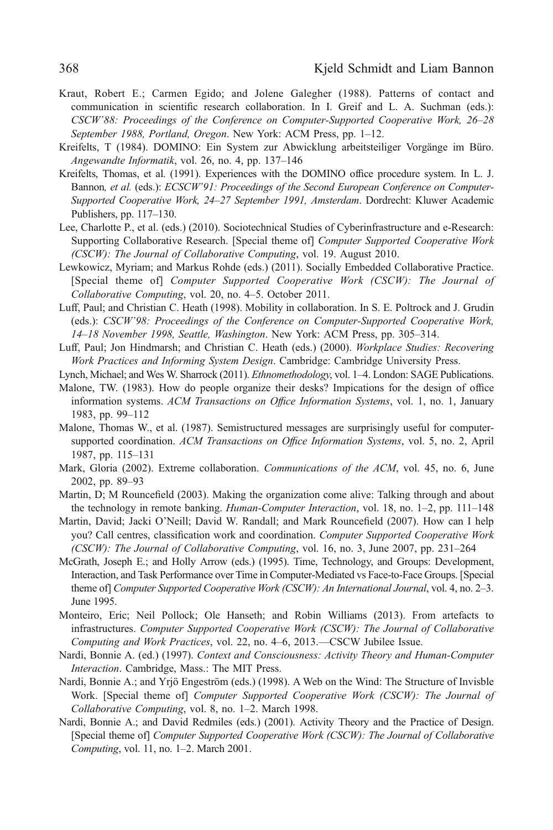- <span id="page-23-0"></span>Kraut, Robert E.; Carmen Egido; and Jolene Galegher (1988). Patterns of contact and communication in scientific research collaboration. In I. Greif and L. A. Suchman (eds.): CSCW'88: Proceedings of the Conference on Computer-Supported Cooperative Work, 26–28 September 1988, Portland, Oregon. New York: ACM Press, pp. 1–12.
- Kreifelts, T (1984). DOMINO: Ein System zur Abwicklung arbeitsteiliger Vorgänge im Büro. Angewandte Informatik, vol. 26, no. 4, pp. 137–146
- Kreifelts, Thomas, et al. (1991). Experiences with the DOMINO office procedure system. In L. J. Bannon, et al. (eds.): ECSCW'91: Proceedings of the Second European Conference on Computer-Supported Cooperative Work, 24–27 September 1991, Amsterdam. Dordrecht: Kluwer Academic Publishers, pp. 117–130.
- Lee, Charlotte P., et al. (eds.) (2010). Sociotechnical Studies of Cyberinfrastructure and e-Research: Supporting Collaborative Research. [Special theme of] Computer Supported Cooperative Work (CSCW): The Journal of Collaborative Computing, vol. 19. August 2010.
- Lewkowicz, Myriam; and Markus Rohde (eds.) (2011). Socially Embedded Collaborative Practice. [Special theme of] Computer Supported Cooperative Work (CSCW): The Journal of Collaborative Computing, vol. 20, no. 4–5. October 2011.
- Luff, Paul; and Christian C. Heath (1998). Mobility in collaboration. In S. E. Poltrock and J. Grudin (eds.): CSCW'98: Proceedings of the Conference on Computer-Supported Cooperative Work, 14–18 November 1998, Seattle, Washington. New York: ACM Press, pp. 305–314.
- Luff, Paul; Jon Hindmarsh; and Christian C. Heath (eds.) (2000). Workplace Studies: Recovering Work Practices and Informing System Design. Cambridge: Cambridge University Press.
- Lynch, Michael; and Wes W. Sharrock (2011). Ethnomethodology, vol. 1-4. London: SAGE Publications.
- Malone, TW. (1983). How do people organize their desks? Impications for the design of office information systems. ACM Transactions on Office Information Systems, vol. 1, no. 1, January 1983, pp. 99–112
- Malone, Thomas W., et al. (1987). Semistructured messages are surprisingly useful for computersupported coordination. ACM Transactions on Office Information Systems, vol. 5, no. 2, April 1987, pp. 115–131
- Mark, Gloria (2002). Extreme collaboration. Communications of the ACM, vol. 45, no. 6, June 2002, pp. 89–93
- Martin, D; M Rouncefield (2003). Making the organization come alive: Talking through and about the technology in remote banking. *Human-Computer Interaction*, vol. 18, no. 1–2, pp. 111–148
- Martin, David; Jacki O'Neill; David W. Randall; and Mark Rouncefield (2007). How can I help you? Call centres, classification work and coordination. Computer Supported Cooperative Work (CSCW): The Journal of Collaborative Computing, vol. 16, no. 3, June 2007, pp. 231–264
- McGrath, Joseph E.; and Holly Arrow (eds.) (1995). Time, Technology, and Groups: Development, Interaction, and Task Performance over Time in Computer-Mediated vs Face-to-Face Groups. [Special theme of] Computer Supported Cooperative Work (CSCW): An International Journal, vol. 4, no. 2–3. June 1995.
- Monteiro, Eric; Neil Pollock; Ole Hanseth; and Robin Williams (2013). From artefacts to infrastructures. Computer Supported Cooperative Work (CSCW): The Journal of Collaborative Computing and Work Practices, vol. 22, no. 4–6, 2013.—CSCW Jubilee Issue.
- Nardi, Bonnie A. (ed.) (1997). Context and Consciousness: Activity Theory and Human-Computer Interaction. Cambridge, Mass.: The MIT Press.
- Nardi, Bonnie A.; and Yrjö Engeström (eds.) (1998). A Web on the Wind: The Structure of Invisble Work. [Special theme of] Computer Supported Cooperative Work (CSCW): The Journal of Collaborative Computing, vol. 8, no. 1–2. March 1998.
- Nardi, Bonnie A.; and David Redmiles (eds.) (2001). Activity Theory and the Practice of Design. [Special theme of] Computer Supported Cooperative Work (CSCW): The Journal of Collaborative Computing, vol. 11, no. 1–2. March 2001.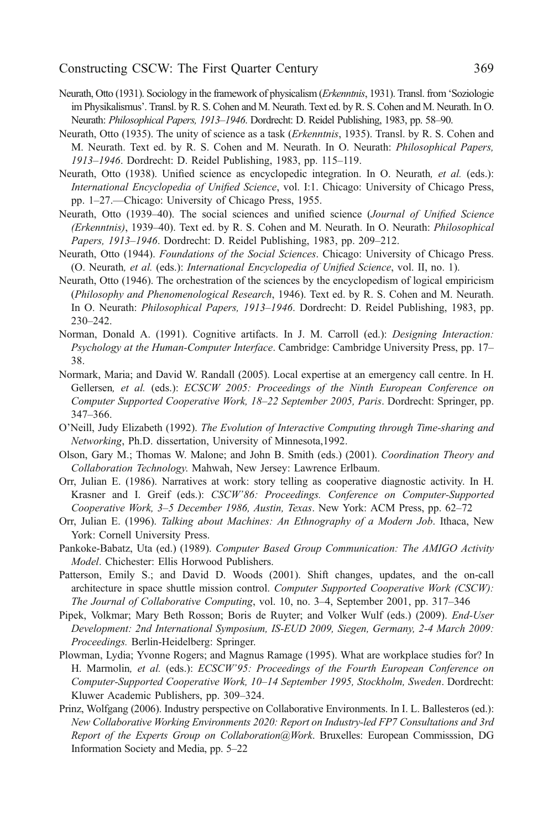- <span id="page-24-0"></span>Neurath, Otto (1931). Sociology in the framework of physicalism *(Erkenntnis*, 1931). Transl. from 'Soziologie im Physikalismus'. Transl. by R. S. Cohen and M. Neurath. Text ed. by R. S. Cohen and M. Neurath. In O. Neurath: Philosophical Papers, 1913–1946. Dordrecht: D. Reidel Publishing, 1983, pp. 58–90.
- Neurath, Otto (1935). The unity of science as a task (Erkenntnis, 1935). Transl. by R. S. Cohen and M. Neurath. Text ed. by R. S. Cohen and M. Neurath. In O. Neurath: Philosophical Papers, 1913–1946. Dordrecht: D. Reidel Publishing, 1983, pp. 115–119.
- Neurath, Otto (1938). Unified science as encyclopedic integration. In O. Neurath, et al. (eds.): International Encyclopedia of Unified Science, vol. I:1. Chicago: University of Chicago Press, pp. 1–27.—Chicago: University of Chicago Press, 1955.
- Neurath, Otto (1939–40). The social sciences and unified science (Journal of Unified Science (Erkenntnis), 1939–40). Text ed. by R. S. Cohen and M. Neurath. In O. Neurath: Philosophical Papers, 1913–1946. Dordrecht: D. Reidel Publishing, 1983, pp. 209–212.
- Neurath, Otto (1944). Foundations of the Social Sciences. Chicago: University of Chicago Press. (O. Neurath, et al. (eds.): International Encyclopedia of Unified Science, vol. II, no. 1).
- Neurath, Otto (1946). The orchestration of the sciences by the encyclopedism of logical empiricism (Philosophy and Phenomenological Research, 1946). Text ed. by R. S. Cohen and M. Neurath. In O. Neurath: Philosophical Papers, 1913–1946. Dordrecht: D. Reidel Publishing, 1983, pp. 230–242.
- Norman, Donald A. (1991). Cognitive artifacts. In J. M. Carroll (ed.): *Designing Interaction*: Psychology at the Human-Computer Interface. Cambridge: Cambridge University Press, pp. 17– 38.
- Normark, Maria; and David W. Randall (2005). Local expertise at an emergency call centre. In H. Gellersen, et al. (eds.): ECSCW 2005: Proceedings of the Ninth European Conference on Computer Supported Cooperative Work, 18–22 September 2005, Paris. Dordrecht: Springer, pp. 347–366.
- O'Neill, Judy Elizabeth (1992). The Evolution of Interactive Computing through Time-sharing and Networking, Ph.D. dissertation, University of Minnesota,1992.
- Olson, Gary M.; Thomas W. Malone; and John B. Smith (eds.) (2001). Coordination Theory and Collaboration Technology. Mahwah, New Jersey: Lawrence Erlbaum.
- Orr, Julian E. (1986). Narratives at work: story telling as cooperative diagnostic activity. In H. Krasner and I. Greif (eds.): CSCW'86: Proceedings. Conference on Computer-Supported Cooperative Work, 3–5 December 1986, Austin, Texas. New York: ACM Press, pp. 62–72
- Orr, Julian E. (1996). Talking about Machines: An Ethnography of a Modern Job. Ithaca, New York: Cornell University Press.
- Pankoke-Babatz, Uta (ed.) (1989). Computer Based Group Communication: The AMIGO Activity Model. Chichester: Ellis Horwood Publishers.
- Patterson, Emily S.; and David D. Woods (2001). Shift changes, updates, and the on-call architecture in space shuttle mission control. Computer Supported Cooperative Work (CSCW): The Journal of Collaborative Computing, vol. 10, no. 3–4, September 2001, pp. 317–346
- Pipek, Volkmar; Mary Beth Rosson; Boris de Ruyter; and Volker Wulf (eds.) (2009). *End-User* Development: 2nd International Symposium, IS-EUD 2009, Siegen, Germany, 2-4 March 2009: Proceedings. Berlin-Heidelberg: Springer.
- Plowman, Lydia; Yvonne Rogers; and Magnus Ramage (1995). What are workplace studies for? In H. Marmolin, et al. (eds.): ECSCW'95: Proceedings of the Fourth European Conference on Computer-Supported Cooperative Work, 10–14 September 1995, Stockholm, Sweden. Dordrecht: Kluwer Academic Publishers, pp. 309–324.
- Prinz, Wolfgang (2006). Industry perspective on Collaborative Environments. In I. L. Ballesteros (ed.): New Collaborative Working Environments 2020: Report on Industry-led FP7 Consultations and 3rd Report of the Experts Group on Collaboration@Work. Bruxelles: European Commisssion, DG Information Society and Media, pp. 5–22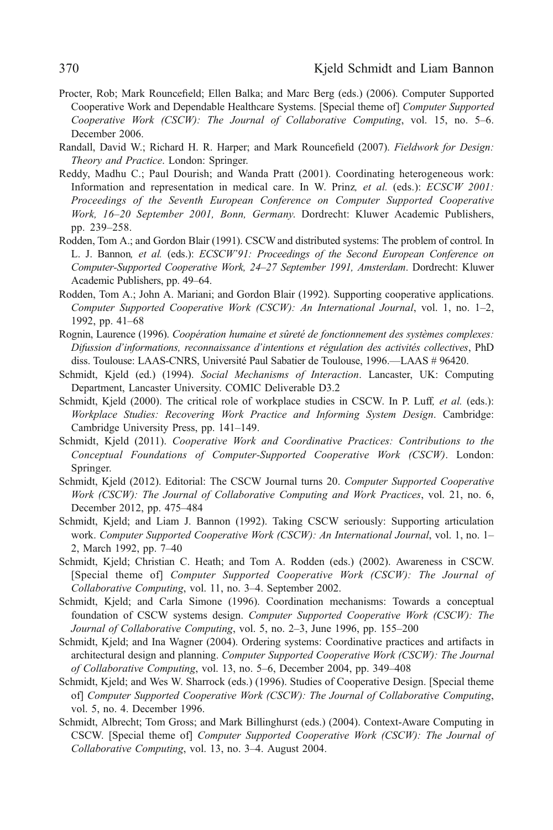- <span id="page-25-0"></span>Procter, Rob; Mark Rouncefield; Ellen Balka; and Marc Berg (eds.) (2006). Computer Supported Cooperative Work and Dependable Healthcare Systems. [Special theme of] Computer Supported Cooperative Work (CSCW): The Journal of Collaborative Computing, vol. 15, no. 5–6. December 2006.
- Randall, David W.; Richard H. R. Harper; and Mark Rouncefield (2007). Fieldwork for Design: Theory and Practice. London: Springer.
- Reddy, Madhu C.; Paul Dourish; and Wanda Pratt (2001). Coordinating heterogeneous work: Information and representation in medical care. In W. Prinz, et al. (eds.): ECSCW 2001: Proceedings of the Seventh European Conference on Computer Supported Cooperative Work, 16–20 September 2001, Bonn, Germany. Dordrecht: Kluwer Academic Publishers, pp. 239–258.
- Rodden, Tom A.; and Gordon Blair (1991). CSCW and distributed systems: The problem of control. In L. J. Bannon, et al. (eds.): ECSCW'91: Proceedings of the Second European Conference on Computer-Supported Cooperative Work, 24–27 September 1991, Amsterdam. Dordrecht: Kluwer Academic Publishers, pp. 49–64.
- Rodden, Tom A.; John A. Mariani; and Gordon Blair (1992). Supporting cooperative applications. Computer Supported Cooperative Work (CSCW): An International Journal, vol. 1, no. 1–2, 1992, pp. 41–68
- Rognin, Laurence (1996). Coopération humaine et sûreté de fonctionnement des systèmes complexes: Difussion d'informations, reconnaissance d'intentions et régulation des activités collectives, PhD diss. Toulouse: LAAS-CNRS, Université Paul Sabatier de Toulouse, 1996.—LAAS # 96420.
- Schmidt, Kjeld (ed.) (1994). Social Mechanisms of Interaction. Lancaster, UK: Computing Department, Lancaster University. COMIC Deliverable D3.2
- Schmidt, Kjeld (2000). The critical role of workplace studies in CSCW. In P. Luff, et al. (eds.): Workplace Studies: Recovering Work Practice and Informing System Design. Cambridge: Cambridge University Press, pp. 141–149.
- Schmidt, Kjeld (2011). Cooperative Work and Coordinative Practices: Contributions to the Conceptual Foundations of Computer-Supported Cooperative Work (CSCW). London: Springer.
- Schmidt, Kjeld (2012). Editorial: The CSCW Journal turns 20. Computer Supported Cooperative Work (CSCW): The Journal of Collaborative Computing and Work Practices, vol. 21, no. 6, December 2012, pp. 475–484
- Schmidt, Kjeld; and Liam J. Bannon (1992). Taking CSCW seriously: Supporting articulation work. Computer Supported Cooperative Work (CSCW): An International Journal, vol. 1, no. 1– 2, March 1992, pp. 7–40
- Schmidt, Kjeld; Christian C. Heath; and Tom A. Rodden (eds.) (2002). Awareness in CSCW. [Special theme of] Computer Supported Cooperative Work (CSCW): The Journal of Collaborative Computing, vol. 11, no. 3–4. September 2002.
- Schmidt, Kjeld; and Carla Simone (1996). Coordination mechanisms: Towards a conceptual foundation of CSCW systems design. Computer Supported Cooperative Work (CSCW): The Journal of Collaborative Computing, vol. 5, no. 2–3, June 1996, pp. 155–200
- Schmidt, Kjeld; and Ina Wagner (2004). Ordering systems: Coordinative practices and artifacts in architectural design and planning. Computer Supported Cooperative Work (CSCW): The Journal of Collaborative Computing, vol. 13, no. 5–6, December 2004, pp. 349–408
- Schmidt, Kjeld; and Wes W. Sharrock (eds.) (1996). Studies of Cooperative Design. [Special theme of] Computer Supported Cooperative Work (CSCW): The Journal of Collaborative Computing, vol. 5, no. 4. December 1996.
- Schmidt, Albrecht; Tom Gross; and Mark Billinghurst (eds.) (2004). Context-Aware Computing in CSCW. [Special theme of] Computer Supported Cooperative Work (CSCW): The Journal of Collaborative Computing, vol. 13, no. 3–4. August 2004.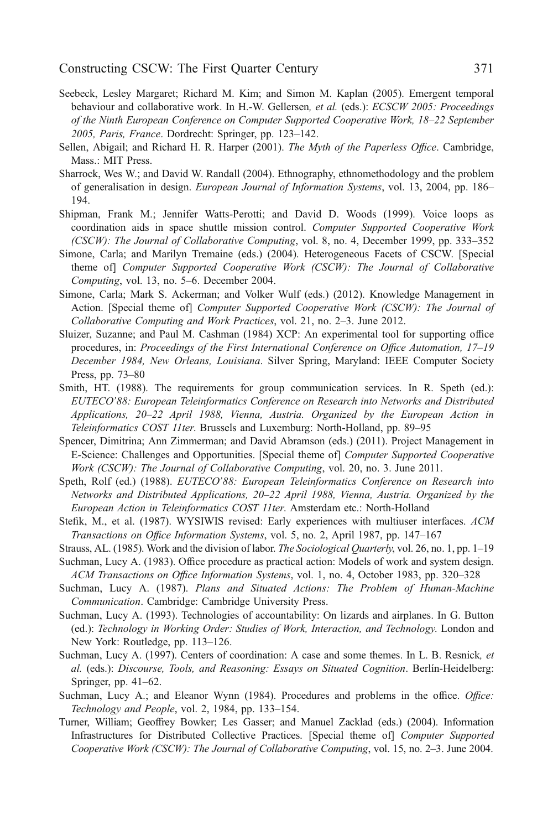- <span id="page-26-0"></span>Seebeck, Lesley Margaret; Richard M. Kim; and Simon M. Kaplan (2005). Emergent temporal behaviour and collaborative work. In H.-W. Gellersen, et al. (eds.): ECSCW 2005: Proceedings of the Ninth European Conference on Computer Supported Cooperative Work, 18–22 September 2005, Paris, France. Dordrecht: Springer, pp. 123–142.
- Sellen, Abigail; and Richard H. R. Harper (2001). The Myth of the Paperless Office. Cambridge, Mass.: MIT Press.
- Sharrock, Wes W.; and David W. Randall (2004). Ethnography, ethnomethodology and the problem of generalisation in design. European Journal of Information Systems, vol. 13, 2004, pp. 186– 194.
- Shipman, Frank M.; Jennifer Watts-Perotti; and David D. Woods (1999). Voice loops as coordination aids in space shuttle mission control. Computer Supported Cooperative Work (CSCW): The Journal of Collaborative Computing, vol. 8, no. 4, December 1999, pp. 333–352
- Simone, Carla; and Marilyn Tremaine (eds.) (2004). Heterogeneous Facets of CSCW. [Special theme of] Computer Supported Cooperative Work (CSCW): The Journal of Collaborative Computing, vol. 13, no. 5–6. December 2004.
- Simone, Carla; Mark S. Ackerman; and Volker Wulf (eds.) (2012). Knowledge Management in Action. [Special theme of] Computer Supported Cooperative Work (CSCW): The Journal of Collaborative Computing and Work Practices, vol. 21, no. 2–3. June 2012.
- Sluizer, Suzanne; and Paul M. Cashman (1984) XCP: An experimental tool for supporting office procedures, in: Proceedings of the First International Conference on Office Automation, 17–19 December 1984, New Orleans, Louisiana. Silver Spring, Maryland: IEEE Computer Society Press, pp. 73–80
- Smith, HT. (1988). The requirements for group communication services. In R. Speth (ed.): EUTECO'88: European Teleinformatics Conference on Research into Networks and Distributed Applications, 20–22 April 1988, Vienna, Austria. Organized by the European Action in Teleinformatics COST 11ter. Brussels and Luxemburg: North-Holland, pp. 89–95
- Spencer, Dimitrina; Ann Zimmerman; and David Abramson (eds.) (2011). Project Management in E-Science: Challenges and Opportunities. [Special theme of] Computer Supported Cooperative Work (CSCW): The Journal of Collaborative Computing, vol. 20, no. 3. June 2011.
- Speth, Rolf (ed.) (1988). *EUTECO'88: European Teleinformatics Conference on Research into* Networks and Distributed Applications, 20–22 April 1988, Vienna, Austria. Organized by the European Action in Teleinformatics COST 11ter. Amsterdam etc.: North-Holland
- Stefik, M., et al. (1987). WYSIWIS revised: Early experiences with multiuser interfaces. ACM Transactions on Office Information Systems, vol. 5, no. 2, April 1987, pp. 147–167
- Strauss, AL. (1985). Work and the division of labor. The Sociological Quarterly, vol. 26, no. 1, pp. 1–19 Suchman, Lucy A. (1983). Office procedure as practical action: Models of work and system design.
- ACM Transactions on Office Information Systems, vol. 1, no. 4, October 1983, pp. 320–328
- Suchman, Lucy A. (1987). Plans and Situated Actions: The Problem of Human-Machine Communication. Cambridge: Cambridge University Press.
- Suchman, Lucy A. (1993). Technologies of accountability: On lizards and airplanes. In G. Button (ed.): Technology in Working Order: Studies of Work, Interaction, and Technology. London and New York: Routledge, pp. 113–126.
- Suchman, Lucy A. (1997). Centers of coordination: A case and some themes. In L. B. Resnick, et al. (eds.): Discourse, Tools, and Reasoning: Essays on Situated Cognition. Berlín-Heidelberg: Springer, pp. 41–62.
- Suchman, Lucy A.; and Eleanor Wynn (1984). Procedures and problems in the office. Office: Technology and People, vol. 2, 1984, pp. 133-154.
- Turner, William; Geoffrey Bowker; Les Gasser; and Manuel Zacklad (eds.) (2004). Information Infrastructures for Distributed Collective Practices. [Special theme of] Computer Supported Cooperative Work (CSCW): The Journal of Collaborative Computing, vol. 15, no. 2–3. June 2004.